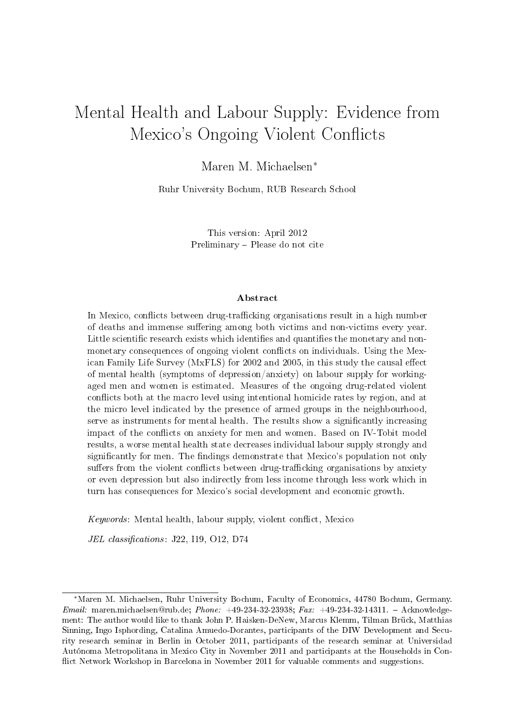# Mental Health and Labour Supply: Evidence from Mexico's Ongoing Violent Conflicts

Maren M. Michaelsen<sup>∗</sup>

Ruhr University Bochum, RUB Research School

This version: April 2012 Preliminary - Please do not cite

#### Abstract

In Mexico, conflicts between drug-trafficking organisations result in a high number of deaths and immense suffering among both victims and non-victims every year. Little scientific research exists which identifies and quantifies the monetary and nonmonetary consequences of ongoing violent conflicts on individuals. Using the Mexican Family Life Survey (MxFLS) for 2002 and 2005, in this study the causal effect of mental health (symptoms of depression/anxiety) on labour supply for workingaged men and women is estimated. Measures of the ongoing drug-related violent conflicts both at the macro level using intentional homicide rates by region, and at the micro level indicated by the presence of armed groups in the neighbourhood, serve as instruments for mental health. The results show a significantly increasing impact of the conflicts on anxiety for men and women. Based on IV-Tobit model results, a worse mental health state decreases individual labour supply strongly and significantly for men. The findings demonstrate that Mexico's population not only suffers from the violent conflicts between drug-trafficking organisations by anxiety or even depression but also indirectly from less income through less work which in turn has consequences for Mexico's social development and economic growth.

 $Keywords:$  Mental health, labour supply, violent conflict, Mexico

JEL classifications: J22, I19, O12, D74

<sup>∗</sup>Maren M. Michaelsen, Ruhr University Bochum, Faculty of Economics, 44780 Bochum, Germany. Email: maren.michaelsen@rub.de; Phone: +49-234-32-23938; Fax: +49-234-32-14311. - Acknowledgement: The author would like to thank John P. Haisken-DeNew, Marcus Klemm, Tilman Brück, Matthias Sinning, Ingo Isphording, Catalina Amuedo-Dorantes, participants of the DIW Development and Security research seminar in Berlin in October 2011, participants of the research seminar at Universidad Autónoma Metropolitana in Mexico City in November 2011 and participants at the Households in Con flict Network Workshop in Barcelona in November 2011 for valuable comments and suggestions.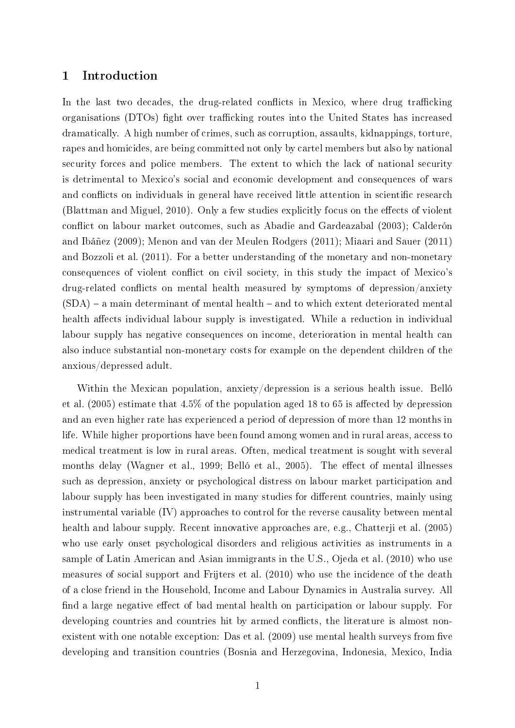## 1 Introduction

In the last two decades, the drug-related conflicts in Mexico, where drug trafficking organisations (DTOs) fight over trafficking routes into the United States has increased dramatically. A high number of crimes, such as corruption, assaults, kidnappings, torture, rapes and homicides, are being committed not only by cartel members but also by national security forces and police members. The extent to which the lack of national security is detrimental to Mexico's social and economic development and consequences of wars and conflicts on individuals in general have received little attention in scientific research [\(Blattman and Miguel, 2010\)](#page-26-0). Only a few studies explicitly focus on the effects of violent conflict on labour market outcomes, such as [Abadie and Gardeazabal](#page-26-1) [\(2003\)](#page-26-1); [Calderón](#page-27-0) [and Ibáñez](#page-27-0) [\(2009\)](#page-27-0); [Menon and van der Meulen Rodgers](#page-28-0) [\(2011\)](#page-28-0); [Miaari and Sauer](#page-28-1) [\(2011\)](#page-28-1) and [Bozzoli et al.](#page-27-1) [\(2011\)](#page-27-1). For a better understanding of the monetary and non-monetary consequences of violent conflict on civil society, in this study the impact of Mexico's  $d\text{rug-related conflicts on mental health measured by symptoms of depression/anxiety}$  $(SDA)$  – a main determinant of mental health – and to which extent deteriorated mental health affects individual labour supply is investigated. While a reduction in individual labour supply has negative consequences on income, deterioration in mental health can also induce substantial non-monetary costs for example on the dependent children of the anxious/depressed adult.

Within the Mexican population, anxiety/depression is a serious health issue. [Belló](#page-26-2) [et al.](#page-26-2)  $(2005)$  estimate that  $4.5\%$  of the population aged 18 to 65 is affected by depression and an even higher rate has experienced a period of depression of more than 12 months in life. While higher proportions have been found among women and in rural areas, access to medical treatment is low in rural areas. Often, medical treatment is sought with several months delay [\(Wagner et al., 1999;](#page-29-0) [Belló et al., 2005\)](#page-26-2). The effect of mental illnesses such as depression, anxiety or psychological distress on labour market participation and labour supply has been investigated in many studies for different countries, mainly using instrumental variable (IV) approaches to control for the reverse causality between mental health and labour supply. Recent innovative approaches are, e.g., [Chatterji et al.](#page-27-2) [\(2005\)](#page-27-2) who use early onset psychological disorders and religious activities as instruments in a sample of Latin American and Asian immigrants in the U.S., [Ojeda et al.](#page-28-2) [\(2010\)](#page-28-2) who use measures of social support and [Frijters et al.](#page-27-3) [\(2010\)](#page-27-3) who use the incidence of the death of a close friend in the Household, Income and Labour Dynamics in Australia survey. All find a large negative effect of bad mental health on participation or labour supply. For developing countries and countries hit by armed conflicts, the literature is almost non-existent with one notable exception: [Das et al.](#page-27-4) [\(2009\)](#page-27-4) use mental health surveys from five developing and transition countries (Bosnia and Herzegovina, Indonesia, Mexico, India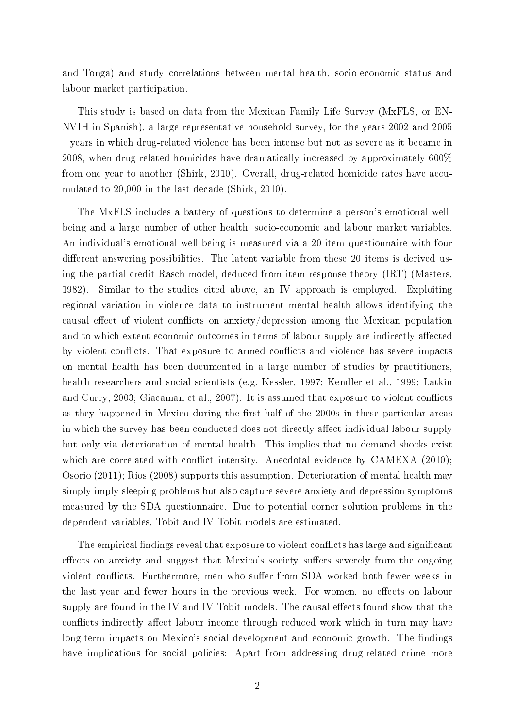and Tonga) and study correlations between mental health, socio-economic status and labour market participation.

This study is based on data from the Mexican Family Life Survey (MxFLS, or EN-NVIH in Spanish), a large representative household survey, for the years 2002 and 2005 – years in which drug-related violence has been intense but not as severe as it became in 2008, when drug-related homicides have dramatically increased by approximately 600% from one year to another [\(Shirk, 2010\)](#page-29-1). Overall, drug-related homicide rates have accumulated to 20,000 in the last decade [\(Shirk, 2010\)](#page-29-1).

The MxFLS includes a battery of questions to determine a person's emotional wellbeing and a large number of other health, socio-economic and labour market variables. An individual's emotional well-being is measured via a 20-item questionnaire with four different answering possibilities. The latent variable from these 20 items is derived using the partial-credit Rasch model, deduced from item response theory (IRT) [\(Masters,](#page-28-3) [1982\)](#page-28-3). Similar to the studies cited above, an IV approach is employed. Exploiting regional variation in violence data to instrument mental health allows identifying the causal effect of violent conflicts on anxiety/depression among the Mexican population and to which extent economic outcomes in terms of labour supply are indirectly affected by violent conflicts. That exposure to armed conflicts and violence has severe impacts on mental health has been documented in a large number of studies by practitioners, health researchers and social scientists (e.g. [Kessler, 1997;](#page-28-4) [Kendler et al., 1999;](#page-28-5) [Latkin](#page-28-6) [and Curry, 2003;](#page-28-6) [Giacaman et al., 2007\)](#page-28-7). It is assumed that exposure to violent conflicts as they happened in Mexico during the first half of the 2000s in these particular areas in which the survey has been conducted does not directly affect individual labour supply but only via deterioration of mental health. This implies that no demand shocks exist which are correlated with conflict intensity. Anecdotal evidence by  $CAMEXA$  [\(2010\)](#page-27-5); [Osorio](#page-28-8) [\(2011\)](#page-28-8); [Ríos](#page-28-9) [\(2008\)](#page-28-9) supports this assumption. Deterioration of mental health may simply imply sleeping problems but also capture severe anxiety and depression symptoms measured by the SDA questionnaire. Due to potential corner solution problems in the dependent variables, Tobit and IV-Tobit models are estimated.

The empirical findings reveal that exposure to violent conflicts has large and significant effects on anxiety and suggest that Mexico's society suffers severely from the ongoing violent conflicts. Furthermore, men who suffer from SDA worked both fewer weeks in the last year and fewer hours in the previous week. For women, no effects on labour supply are found in the IV and IV-Tobit models. The causal effects found show that the conflicts indirectly affect labour income through reduced work which in turn may have long-term impacts on Mexico's social development and economic growth. The findings have implications for social policies: Apart from addressing drug-related crime more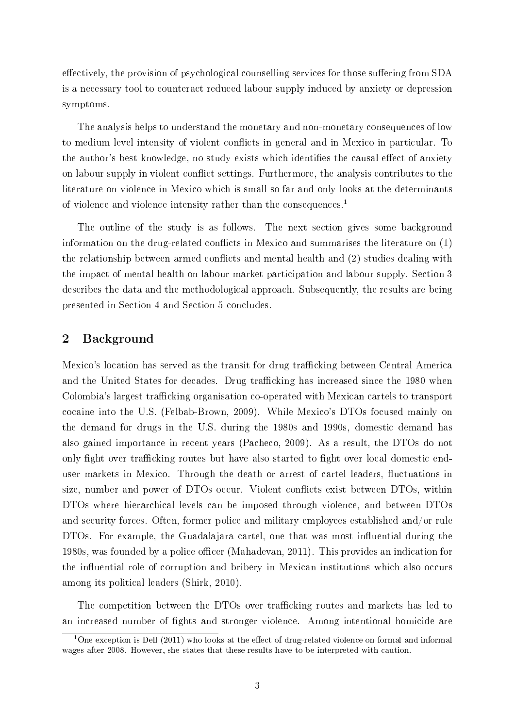effectively, the provision of psychological counselling services for those suffering from SDA is a necessary tool to counteract reduced labour supply induced by anxiety or depression symptoms.

The analysis helps to understand the monetary and non-monetary consequences of low to medium level intensity of violent conflicts in general and in Mexico in particular. To the author's best knowledge, no study exists which identifies the causal effect of anxiety on labour supply in violent conflict settings. Furthermore, the analysis contributes to the literature on violence in Mexico which is small so far and only looks at the determinants of violence and violence intensity rather than the consequences.<sup>1</sup>

The outline of the study is as follows. The next section gives some background information on the drug-related conflicts in Mexico and summarises the literature on  $(1)$ the relationship between armed conflicts and mental health and  $(2)$  studies dealing with the impact of mental health on labour market participation and labour supply. Section 3 describes the data and the methodological approach. Subsequently, the results are being presented in Section 4 and Section 5 concludes.

## 2 Background

Mexico's location has served as the transit for drug trafficking between Central America and the United States for decades. Drug trafficking has increased since the 1980 when Colombia's largest trafficking organisation co-operated with Mexican cartels to transport cocaine into the U.S. [\(Felbab-Brown, 2009\)](#page-27-6). While Mexico's DTOs focused mainly on the demand for drugs in the U.S. during the 1980s and 1990s, domestic demand has also gained importance in recent years [\(Pacheco, 2009\)](#page-28-10). As a result, the DTOs do not only fight over trafficking routes but have also started to fight over local domestic enduser markets in Mexico. Through the death or arrest of cartel leaders, fluctuations in size, number and power of DTOs occur. Violent conflicts exist between DTOs, within DTOs where hierarchical levels can be imposed through violence, and between DTOs and security forces. Often, former police and military employees established and/or rule DTOs. For example, the Guadalajara cartel, one that was most influential during the 1980s, was founded by a police officer [\(Mahadevan, 2011\)](#page-28-11). This provides an indication for the influential role of corruption and bribery in Mexican institutions which also occurs among its political leaders [\(Shirk, 2010\)](#page-29-1).

The competition between the DTOs over trafficking routes and markets has led to an increased number of fights and stronger violence. Among intentional homicide are

<sup>&</sup>lt;sup>1</sup>One exception is [Dell](#page-27-7) [\(2011\)](#page-27-7) who looks at the effect of drug-related violence on formal and informal wages after 2008. However, she states that these results have to be interpreted with caution.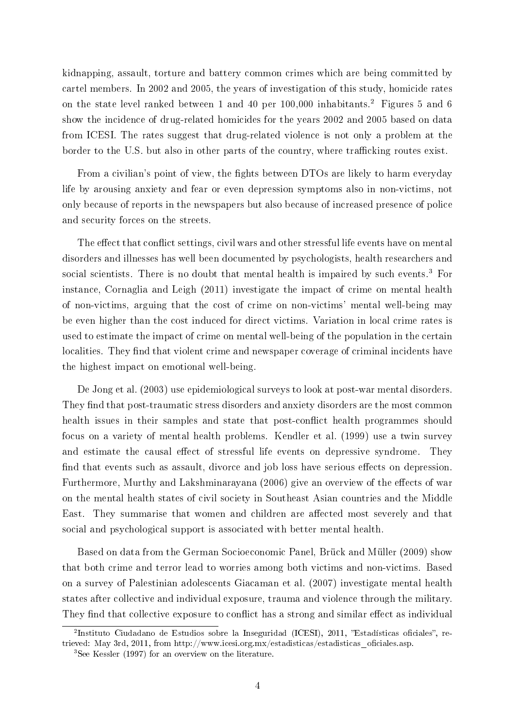kidnapping, assault, torture and battery common crimes which are being committed by cartel members. In 2002 and 2005, the years of investigation of this study, homicide rates on the state level ranked between 1 and 40 per 100,000 inhabitants.<sup>2</sup> Figures [5](#page-30-0) and [6](#page-31-0) show the incidence of drug-related homicides for the years 2002 and 2005 based on data from ICESI. The rates suggest that drug-related violence is not only a problem at the border to the U.S. but also in other parts of the country, where trafficking routes exist.

From a civilian's point of view, the fights between DTOs are likely to harm everyday life by arousing anxiety and fear or even depression symptoms also in non-victims, not only because of reports in the newspapers but also because of increased presence of police and security forces on the streets.

The effect that conflict settings, civil wars and other stressful life events have on mental disorders and illnesses has well been documented by psychologists, health researchers and social scientists. There is no doubt that mental health is impaired by such events.<sup>3</sup> For instance, [Cornaglia and Leigh](#page-27-8) [\(2011\)](#page-27-8) investigate the impact of crime on mental health of non-victims, arguing that the cost of crime on non-victims' mental well-being may be even higher than the cost induced for direct victims. Variation in local crime rates is used to estimate the impact of crime on mental well-being of the population in the certain localities. They find that violent crime and newspaper coverage of criminal incidents have the highest impact on emotional well-being.

[De Jong et al.](#page-27-9) [\(2003\)](#page-27-9) use epidemiological surveys to look at post-war mental disorders. They find that post-traumatic stress disorders and anxiety disorders are the most common health issues in their samples and state that post-conflict health programmes should focus on a variety of mental health problems. [Kendler et al.](#page-28-5) [\(1999\)](#page-28-5) use a twin survey and estimate the causal effect of stressful life events on depressive syndrome. They find that events such as assault, divorce and job loss have serious effects on depression. Furthermore, [Murthy and Lakshminarayana](#page-28-12) [\(2006\)](#page-28-12) give an overview of the effects of war on the mental health states of civil society in Southeast Asian countries and the Middle East. They summarise that women and children are affected most severely and that social and psychological support is associated with better mental health.

Based on data from the German Socioeconomic Panel, [Brück and Müller](#page-27-10) [\(2009\)](#page-27-10) show that both crime and terror lead to worries among both victims and non-victims. Based on a survey of Palestinian adolescents [Giacaman et al.](#page-28-7) [\(2007\)](#page-28-7) investigate mental health states after collective and individual exposure, trauma and violence through the military. They find that collective exposure to conflict has a strong and similar effect as individual

<sup>&</sup>lt;sup>2</sup>Instituto Ciudadano de Estudios sobre la Inseguridad (ICESI), 2011, "Estadísticas oficiales", retrieved: May 3rd, 2011, from http://www.icesi.org.mx/estadisticas/estadisticas\_oficiales.asp.

<sup>3</sup>See [Kessler](#page-28-4) [\(1997\)](#page-28-4) for an overview on the literature.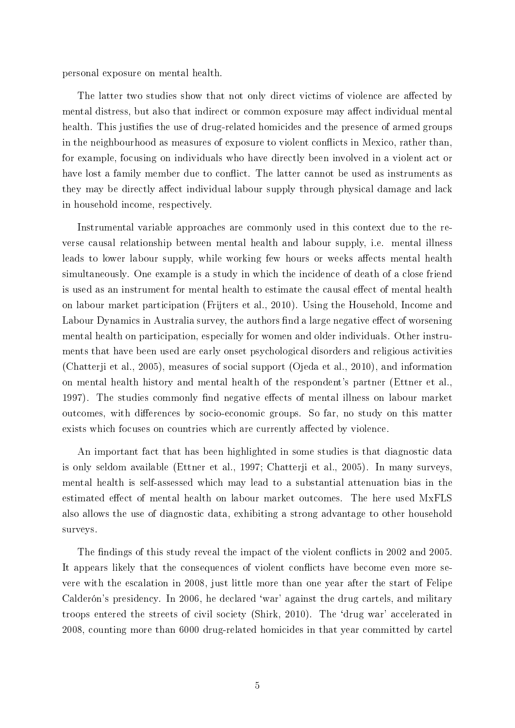personal exposure on mental health.

The latter two studies show that not only direct victims of violence are affected by mental distress, but also that indirect or common exposure may affect individual mental health. This justifies the use of drug-related homicides and the presence of armed groups in the neighbourhood as measures of exposure to violent conflicts in Mexico, rather than, for example, focusing on individuals who have directly been involved in a violent act or have lost a family member due to conflict. The latter cannot be used as instruments as they may be directly affect individual labour supply through physical damage and lack in household income, respectively.

Instrumental variable approaches are commonly used in this context due to the reverse causal relationship between mental health and labour supply, i.e. mental illness leads to lower labour supply, while working few hours or weeks affects mental health simultaneously. One example is a study in which the incidence of death of a close friend is used as an instrument for mental health to estimate the causal effect of mental health on labour market participation [\(Frijters et al., 2010\)](#page-27-3). Using the Household, Income and Labour Dynamics in Australia survey, the authors find a large negative effect of worsening mental health on participation, especially for women and older individuals. Other instruments that have been used are early onset psychological disorders and religious activities [\(Chatterji et al., 2005\)](#page-27-2), measures of social support [\(Ojeda et al., 2010\)](#page-28-2), and information on mental health history and mental health of the respondent's partner [\(Ettner et al.,](#page-27-11) [1997\)](#page-27-11). The studies commonly find negative effects of mental illness on labour market outcomes, with differences by socio-economic groups. So far, no study on this matter exists which focuses on countries which are currently affected by violence.

An important fact that has been highlighted in some studies is that diagnostic data is only seldom available [\(Ettner et al., 1997;](#page-27-11) [Chatterji et al., 2005\)](#page-27-2). In many surveys, mental health is self-assessed which may lead to a substantial attenuation bias in the estimated effect of mental health on labour market outcomes. The here used MxFLS also allows the use of diagnostic data, exhibiting a strong advantage to other household surveys.

The findings of this study reveal the impact of the violent conflicts in 2002 and 2005. It appears likely that the consequences of violent conflicts have become even more severe with the escalation in 2008, just little more than one year after the start of Felipe Calderón's presidency. In 2006, he declared `war' against the drug cartels, and military troops entered the streets of civil society [\(Shirk, 2010\)](#page-29-1). The `drug war' accelerated in 2008, counting more than 6000 drug-related homicides in that year committed by cartel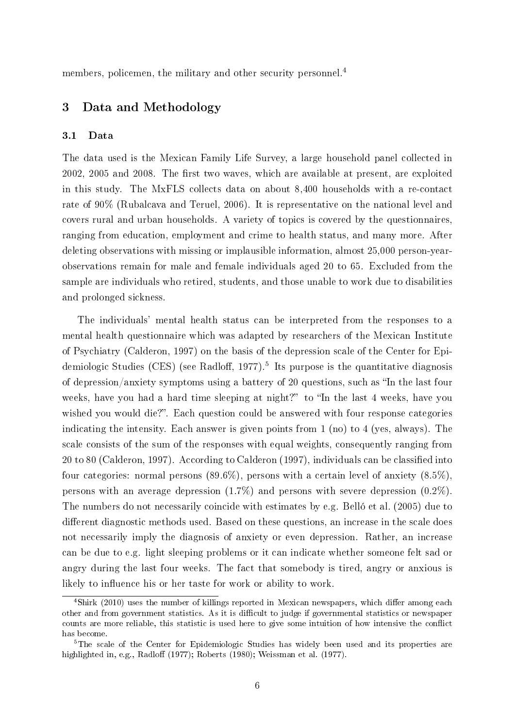members, policemen, the military and other security personnel.<sup>4</sup>

## 3 Data and Methodology

#### 3.1 Data

The data used is the Mexican Family Life Survey, a large household panel collected in 2002, 2005 and 2008. The first two waves, which are available at present, are exploited in this study. The MxFLS collects data on about 8,400 households with a re-contact rate of 90% [\(Rubalcava and Teruel, 2006\)](#page-29-2). It is representative on the national level and covers rural and urban households. A variety of topics is covered by the questionnaires, ranging from education, employment and crime to health status, and many more. After deleting observations with missing or implausible information, almost 25,000 person-yearobservations remain for male and female individuals aged 20 to 65. Excluded from the sample are individuals who retired, students, and those unable to work due to disabilities and prolonged sickness.

The individuals' mental health status can be interpreted from the responses to a mental health questionnaire which was adapted by researchers of the Mexican Institute of Psychiatry [\(Calderon, 1997\)](#page-27-12) on the basis of the depression scale of the Center for Epidemiologic Studies (CES) (see Radloff, 1977).<sup>5</sup> Its purpose is the quantitative diagnosis of depression/anxiety symptoms using a battery of 20 questions, such as "In the last four weeks, have you had a hard time sleeping at night?" to "In the last 4 weeks, have you wished you would die?". Each question could be answered with four response categories indicating the intensity. Each answer is given points from 1 (no) to 4 (yes, always). The scale consists of the sum of the responses with equal weights, consequently ranging from 20 to 80 [\(Calderon, 1997\)](#page-27-12). According to [Calderon](#page-27-12) [\(1997\)](#page-27-12), individuals can be classied into four categories: normal persons  $(89.6\%)$ , persons with a certain level of anxiety  $(8.5\%)$ , persons with an average depression (1.7%) and persons with severe depression (0.2%). The numbers do not necessarily coincide with estimates by e.g. [Belló et al.](#page-26-2) [\(2005\)](#page-26-2) due to different diagnostic methods used. Based on these questions, an increase in the scale does not necessarily imply the diagnosis of anxiety or even depression. Rather, an increase can be due to e.g. light sleeping problems or it can indicate whether someone felt sad or angry during the last four weeks. The fact that somebody is tired, angry or anxious is likely to influence his or her taste for work or ability to work.

 $4\text{Shirk}$  (2010) uses the number of killings reported in Mexican newspapers, which differ among each other and from government statistics. As it is difficult to judge if governmental statistics or newspaper counts are more reliable, this statistic is used here to give some intuition of how intensive the conflict has become.

<sup>&</sup>lt;sup>5</sup>The scale of the Center for Epidemiologic Studies has widely been used and its properties are highlighted in, e.g., [Radlo](#page-28-13)ff [\(1977\)](#page-29-3); [Roberts](#page-28-14) [\(1980\)](#page-28-14); [Weissman et al.](#page-29-3) (1977).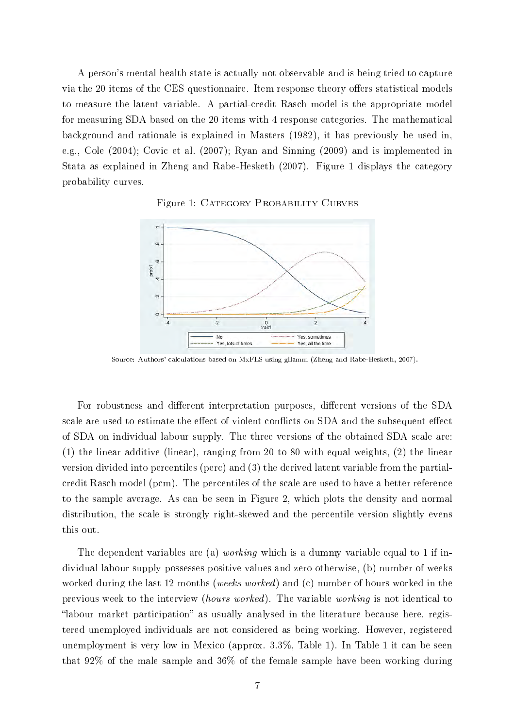A person's mental health state is actually not observable and is being tried to capture via the 20 items of the CES questionnaire. Item response theory offers statistical models to measure the latent variable. A partial-credit Rasch model is the appropriate model for measuring SDA based on the 20 items with 4 response categories. The mathematical background and rationale is explained in [Masters](#page-28-3) [\(1982\)](#page-28-3), it has previously be used in, e.g., [Cole](#page-27-13) [\(2004\)](#page-27-13); [Covic et al.](#page-27-14) [\(2007\)](#page-27-14); [Ryan and Sinning](#page-29-4) [\(2009\)](#page-29-4) and is implemented in Stata as explained in [Zheng and Rabe-Hesketh](#page-29-5) [\(2007\)](#page-29-5). Figure [1](#page-7-0) displays the category probability curves.

<span id="page-7-0"></span>

Figure 1: CATEGORY PROBABILITY CURVES

Source: Authors' calculations based on MxFLS using gllamm [\(Zheng and Rabe-Hesketh, 2007\)](#page-29-5).

For robustness and different interpretation purposes, different versions of the SDA scale are used to estimate the effect of violent conflicts on SDA and the subsequent effect of SDA on individual labour supply. The three versions of the obtained SDA scale are: (1) the linear additive (linear), ranging from 20 to 80 with equal weights, (2) the linear version divided into percentiles (perc) and (3) the derived latent variable from the partialcredit Rasch model (pcm). The percentiles of the scale are used to have a better reference to the sample average. As can be seen in Figure [2,](#page-8-0) which plots the density and normal distribution, the scale is strongly right-skewed and the percentile version slightly evens this out.

The dependent variables are (a) *working* which is a dummy variable equal to 1 if individual labour supply possesses positive values and zero otherwise, (b) number of weeks worked during the last 12 months (weeks worked) and (c) number of hours worked in the previous week to the interview (hours worked). The variable working is not identical to "labour market participation" as usually analysed in the literature because here, registered unemployed individuals are not considered as being working. However, registered unemployment is very low in Mexico (approx. 3.3%, Table [1\)](#page-9-0). In Table [1](#page-9-0) it can be seen that 92% of the male sample and 36% of the female sample have been working during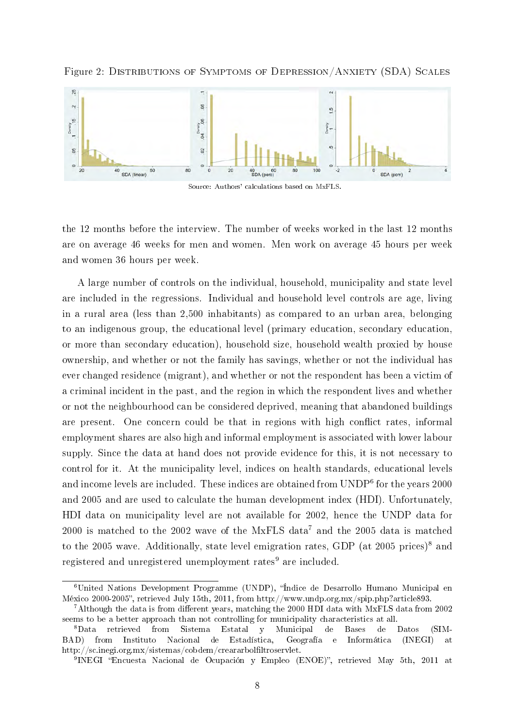Figure 2: Distributions of Symptoms of Depression/Anxiety (SDA) Scales

<span id="page-8-0"></span>

Source: Authors' calculations based on MxFLS.

the 12 months before the interview. The number of weeks worked in the last 12 months are on average 46 weeks for men and women. Men work on average 45 hours per week and women 36 hours per week.

A large number of controls on the individual, household, municipality and state level are included in the regressions. Individual and household level controls are age, living in a rural area (less than 2,500 inhabitants) as compared to an urban area, belonging to an indigenous group, the educational level (primary education, secondary education, or more than secondary education), household size, household wealth proxied by house ownership, and whether or not the family has savings, whether or not the individual has ever changed residence (migrant), and whether or not the respondent has been a victim of a criminal incident in the past, and the region in which the respondent lives and whether or not the neighbourhood can be considered deprived, meaning that abandoned buildings are present. One concern could be that in regions with high conflict rates, informal employment shares are also high and informal employment is associated with lower labour supply. Since the data at hand does not provide evidence for this, it is not necessary to control for it. At the municipality level, indices on health standards, educational levels and income levels are included. These indices are obtained from  $\mathrm{UNDP}^6$  for the years 2000 and 2005 and are used to calculate the human development index (HDI). Unfortunately, HDI data on municipality level are not available for 2002, hence the UNDP data for  $2000$  is matched to the  $2002$  wave of the MxFLS data<sup>7</sup> and the  $2005$  data is matched to the 2005 wave. Additionally, state level emigration rates, GDP (at 2005 prices)<sup>8</sup> and registered and unregistered unemployment rates<sup>9</sup> are included.

<sup>6</sup>United Nations Development Programme (UNDP), Índice de Desarrollo Humano Municipal en México 2000-2005, retrieved July 15th, 2011, from http://www.undp.org.mx/spip.php?article893.

 $7$ Although the data is from different years, matching the 2000 HDI data with MxFLS data from 2002 seems to be a better approach than not controlling for municipality characteristics at all.

<sup>8</sup>Data retrieved from Sistema Estatal y Municipal de Bases de Datos (SIM-BAD) from Instituto Nacional de Estadística, Geografía e Informática (INEGI) at http://sc.inegi.org.mx/sistemas/cobdem/creararbolfiltroservlet.

<sup>&</sup>lt;sup>9</sup> INEGI "Encuesta Nacional de Ocupación y Empleo (ENOE)", retrieved May 5th, 2011 at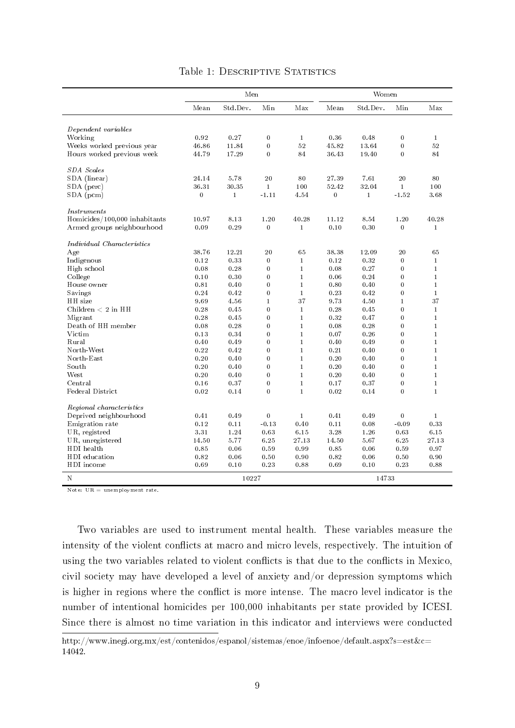<span id="page-9-0"></span>

| Std.Dev.<br>Min<br>Max<br>Std.Dev.<br>Mean<br>Mean<br>Dependent variables<br>$\bf{0}$<br>Working<br>0.92<br>0.27<br>$\mathbf{1}$<br>0.36<br>0.48 | Min<br>$\bf{0}$            | Max          |
|--------------------------------------------------------------------------------------------------------------------------------------------------|----------------------------|--------------|
|                                                                                                                                                  |                            |              |
|                                                                                                                                                  |                            |              |
|                                                                                                                                                  |                            |              |
|                                                                                                                                                  |                            | $\mathbf{1}$ |
| $\bf{0}$<br>52<br>45.82<br>Weeks worked previous year<br>46.86<br>11.84<br>13.64                                                                 | $\overline{0}$<br>$\theta$ | 52           |
| Hours worked previous week<br>44.79<br>17.29<br>$\bf{0}$<br>84<br>36.43<br>19.40                                                                 |                            | 84           |
| <b>SDA</b> Scales                                                                                                                                |                            |              |
| SDA (linear)<br>5.78<br>20<br>80<br>27.39<br>7.61<br>24.14                                                                                       | 20                         | 80           |
| SDA (perc)<br>36.31<br>30.35<br>$\mathbf{1}$<br>100<br>52.42<br>32.04                                                                            | $\mathbf{1}$               | 100          |
| $SDA$ (pcm)<br>$\theta$<br>$\mathbf{1}$<br>$-1.11$<br>4.54<br>$\overline{0}$<br>$\mathbf{1}$                                                     | $-1.52$                    | 3.68         |
| <i>Instruments</i>                                                                                                                               |                            |              |
| 40.28<br>8.54<br>Homicides/100,000 inhabitants<br>10.97<br>8.13<br>1.20<br>11.12                                                                 | 1.20                       | 40.28        |
| 0.09<br>0.29<br>$\bf{0}$<br>0.10<br>Armed groups neighbourhood<br>$\mathbf{1}$<br>0.30                                                           | $\overline{0}$             | $\mathbf{1}$ |
| Individual Characteristics                                                                                                                       |                            |              |
| 38.76<br>12.21<br>20<br>65<br>38.38<br>12.09<br>Age                                                                                              | 20                         | 65           |
| Indigenous<br>0.12<br>0.33<br>$\bf{0}$<br>$\mathbf{1}$<br>0.12<br>0.32                                                                           | $\bf{0}$                   | $\mathbf{1}$ |
| $\mathbf{1}$<br>High school<br>0.08<br>0.28<br>$\bf{0}$<br>0.08<br>0.27                                                                          | $\bf{0}$                   | $\mathbf{1}$ |
| $\mathbf{1}$<br>College<br>0.30<br>$\bf{0}$<br>0.06<br>0.24<br>0.10                                                                              | $\bf{0}$                   | $\mathbf{1}$ |
| $\mathbf{1}$<br>$\bf{0}$<br>House owner<br>0.81<br>0.40<br>0.80<br>0.40                                                                          | $\bf{0}$                   | $\mathbf{1}$ |
| $\,1$<br>0.24<br>0.42<br>$\bf{0}$<br>0.23<br>0.42<br>Savings                                                                                     | $\bf{0}$                   | $\mathbf{1}$ |
| 37<br>9.69<br>$\mathbf{1}$<br>9.73<br>4.50<br>HH size<br>4.56                                                                                    | $\mathbf{1}$               | 37           |
| Children $< 2$ in HH<br>0.28<br>$\mathbf{0}$<br>$\mathbf{1}$<br>0.28<br>0.45<br>0.45                                                             | $\theta$                   | $\mathbf{1}$ |
| 0.28<br>$\mathbf{0}$<br>$\mathbf{1}$<br>Migrant<br>0.45<br>0.32<br>0.47                                                                          | $\theta$                   | $\mathbf{1}$ |
| $\mathbf{1}$<br>Death of HH member<br>0.08<br>0.28<br>$\overline{0}$<br>0.08<br>0.28                                                             | $\theta$                   | $\mathbf{1}$ |
| 0.13<br>$\overline{0}$<br>$\mathbf{1}$<br>0.07<br>0.26<br>Victim<br>0.34                                                                         | $\theta$                   | $\mathbf{1}$ |
| $\overline{0}$<br>$\mathbf{1}$<br>0.40<br>0.49<br>0.40<br>0.49<br>Rural                                                                          | $\theta$                   | $\mathbf{1}$ |
| 0.22<br>$\mathbf{0}$<br>$\mathbf{1}$<br>0.42<br>0.21<br>0.40<br>North-West                                                                       | $\theta$                   | $\mathbf{1}$ |
| $\overline{0}$<br>$\mathbf{1}$<br>0.20<br>North-East<br>0.20<br>0.40<br>0.40                                                                     | $\overline{0}$             | $\mathbf{1}$ |
| $\overline{0}$<br>$\mathbf{1}$<br>South<br>0.20<br>0.40<br>0.20<br>0.40                                                                          | $\theta$                   | $\mathbf{1}$ |
| $\overline{0}$<br>$\mathbf{1}$<br>West<br>0.20<br>0.40<br>0.20<br>0.40                                                                           | $\overline{0}$             | $\mathbf{1}$ |
| $\mathbf{0}$<br>$\mathbf{1}$<br>Central<br>0.16<br>0.37<br>0.17<br>0.37                                                                          | $\overline{0}$             | $\mathbf{1}$ |
| Federal District<br>0.02<br>$\bf{0}$<br>$\mathbf{1}$<br>0.02<br>0.14<br>0.14                                                                     | $\theta$                   | $\mathbf{1}$ |
| Regional characteristics                                                                                                                         |                            |              |
| Deprived neighbourhood<br>0.49<br>$\bf{0}$<br>$\mathbf{1}$<br>0.41<br>0.49<br>0.41                                                               | $\bf{0}$                   | $\mathbf{1}$ |
| Emigration rate<br>0.12<br>0.11<br>$-0.13$<br>0.40<br>0.11<br>0.08                                                                               | $-0.09$                    | 0.33         |
| UR, registred<br>1.24<br>0.63<br>6.15<br>3.28<br>331<br>1.26                                                                                     | 0.63                       | 6.15         |
| UR, unregistered<br>5.77<br>6.25<br>14.50<br>27.13<br>14.50<br>5.67                                                                              | 6.25                       | 27.13        |
| 0.85<br>0.06<br>0.59<br>0.99<br>0.85<br>HDI health<br>0.06                                                                                       | 0.59                       | 0.97         |
| 0.50<br>HDI education<br>0.82<br>0.06<br>0.90<br>0.82<br>0.06                                                                                    | 0.50                       | 0.90         |
| 0.23<br>0.10<br>HDI income<br>0.69<br>0.88<br>0.69<br>0.10                                                                                       | 0.23                       | 0.88         |
| 10227<br>14733<br>N                                                                                                                              |                            |              |

#### Table 1: DESCRIPTIVE STATISTICS

Note: UR = unemployment rate.

Two variables are used to instrument mental health. These variables measure the intensity of the violent conflicts at macro and micro levels, respectively. The intuition of using the two variables related to violent conflicts is that due to the conflicts in Mexico, civil society may have developed a level of anxiety and/or depression symptoms which is higher in regions where the conflict is more intense. The macro level indicator is the number of intentional homicides per 100,000 inhabitants per state provided by ICESI. Since there is almost no time variation in this indicator and interviews were conducted

http://www.inegi.org.mx/est/contenidos/espanol/sistemas/enoe/infoenoe/default.aspx?s=est&c= 14042.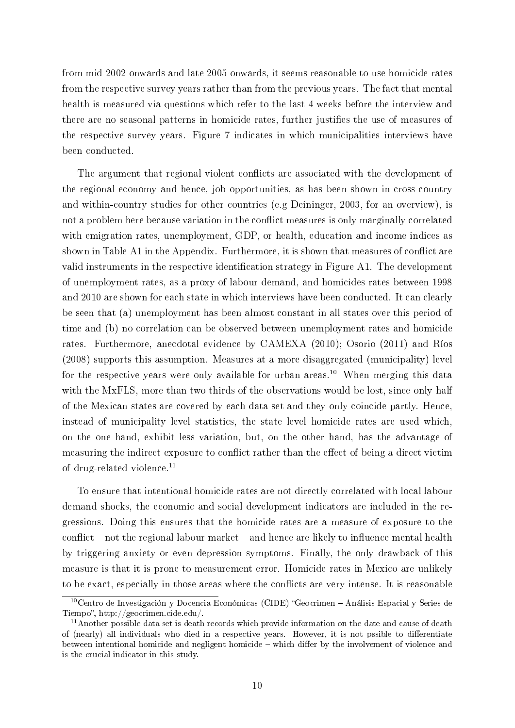from mid-2002 onwards and late 2005 onwards, it seems reasonable to use homicide rates from the respective survey years rather than from the previous years. The fact that mental health is measured via questions which refer to the last 4 weeks before the interview and there are no seasonal patterns in homicide rates, further justifies the use of measures of the respective survey years. Figure [7](#page-31-1) indicates in which municipalities interviews have been conducted.

The argument that regional violent conflicts are associated with the development of the regional economy and hence, job opportunities, as has been shown in cross-country and within-country studies for other countries (e.g [Deininger, 2003,](#page-27-15) for an overview), is not a problem here because variation in the conflict measures is only marginally correlated with emigration rates, unemployment, GDP, or health, education and income indices as shown in Table [A1](#page-32-0) in the Appendix. Furthermore, it is shown that measures of conflict are valid instruments in the respective identification strategy in Figure [A1.](#page-39-0) The development of unemployment rates, as a proxy of labour demand, and homicides rates between 1998 and 2010 are shown for each state in which interviews have been conducted. It can clearly be seen that (a) unemployment has been almost constant in all states over this period of time and (b) no correlation can be observed between unemployment rates and homicide rates. Furthermore, anecdotal evidence by [CAMEXA](#page-27-5) [\(2010\)](#page-27-5); [Osorio](#page-28-8) [\(2011\)](#page-28-8) and [Ríos](#page-28-9) [\(2008\)](#page-28-9) supports this assumption. Measures at a more disaggregated (municipality) level for the respective years were only available for urban areas.<sup>10</sup> When merging this data with the MxFLS, more than two thirds of the observations would be lost, since only half of the Mexican states are covered by each data set and they only coincide partly. Hence, instead of municipality level statistics, the state level homicide rates are used which, on the one hand, exhibit less variation, but, on the other hand, has the advantage of measuring the indirect exposure to conflict rather than the effect of being a direct victim of drug-related violence.<sup>11</sup>

To ensure that intentional homicide rates are not directly correlated with local labour demand shocks, the economic and social development indicators are included in the regressions. Doing this ensures that the homicide rates are a measure of exposure to the conflict  $-$  not the regional labour market  $-$  and hence are likely to influence mental health by triggering anxiety or even depression symptoms. Finally, the only drawback of this measure is that it is prone to measurement error. Homicide rates in Mexico are unlikely to be exact, especially in those areas where the conflicts are very intense. It is reasonable

<sup>&</sup>lt;sup>10</sup>Centro de Investigación y Docencia Económicas (CIDE) "Geocrimen - Análisis Espacial y Series de Tiempo", http://geocrimen.cide.edu/.

 $11$ Another possible data set is death records which provide information on the date and cause of death of (nearly) all individuals who died in a respective years. However, it is not pssible to differentiate between intentional homicide and negligent homicide – which differ by the involvement of violence and is the crucial indicator in this study.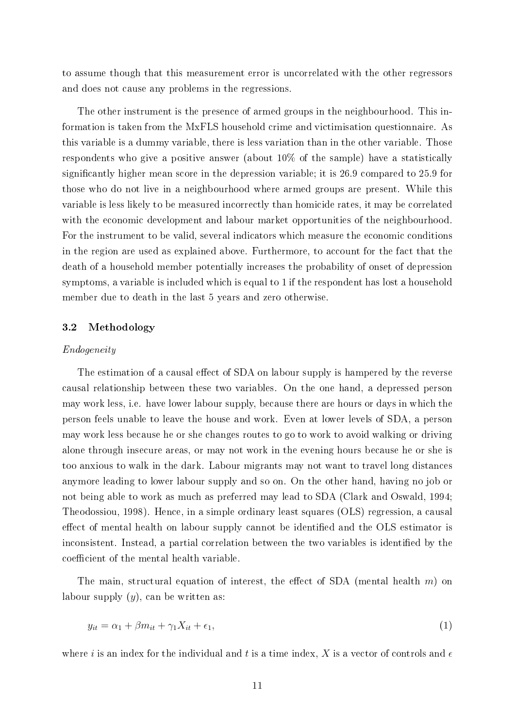to assume though that this measurement error is uncorrelated with the other regressors and does not cause any problems in the regressions.

The other instrument is the presence of armed groups in the neighbourhood. This information is taken from the MxFLS household crime and victimisation questionnaire. As this variable is a dummy variable, there is less variation than in the other variable. Those respondents who give a positive answer (about 10% of the sample) have a statistically signicantly higher mean score in the depression variable; it is 26.9 compared to 25.9 for those who do not live in a neighbourhood where armed groups are present. While this variable is less likely to be measured incorrectly than homicide rates, it may be correlated with the economic development and labour market opportunities of the neighbourhood. For the instrument to be valid, several indicators which measure the economic conditions in the region are used as explained above. Furthermore, to account for the fact that the death of a household member potentially increases the probability of onset of depression symptoms, a variable is included which is equal to 1 if the respondent has lost a household member due to death in the last 5 years and zero otherwise.

#### 3.2 Methodology

#### Endogeneity

The estimation of a causal effect of SDA on labour supply is hampered by the reverse causal relationship between these two variables. On the one hand, a depressed person may work less, i.e. have lower labour supply, because there are hours or days in which the person feels unable to leave the house and work. Even at lower levels of SDA, a person may work less because he or she changes routes to go to work to avoid walking or driving alone through insecure areas, or may not work in the evening hours because he or she is too anxious to walk in the dark. Labour migrants may not want to travel long distances anymore leading to lower labour supply and so on. On the other hand, having no job or not being able to work as much as preferred may lead to SDA [\(Clark and Oswald, 1994;](#page-27-16) [Theodossiou, 1998\)](#page-29-6). Hence, in a simple ordinary least squares (OLS) regression, a causal effect of mental health on labour supply cannot be identified and the OLS estimator is inconsistent. Instead, a partial correlation between the two variables is identified by the coefficient of the mental health variable.

The main, structural equation of interest, the effect of SDA (mental health  $m$ ) on labour supply  $(y)$ , can be written as:

$$
y_{it} = \alpha_1 + \beta m_{it} + \gamma_1 X_{it} + \epsilon_1,\tag{1}
$$

where i is an index for the individual and t is a time index, X is a vector of controls and  $\epsilon$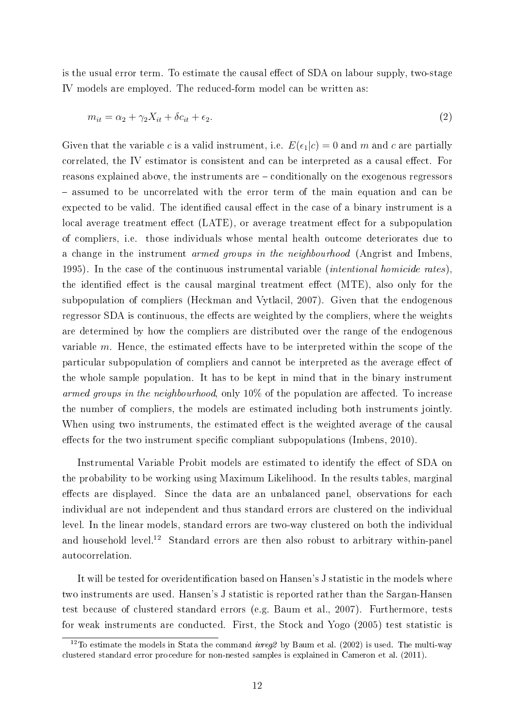is the usual error term. To estimate the causal effect of SDA on labour supply, two-stage IV models are employed. The reduced-form model can be written as:

$$
m_{it} = \alpha_2 + \gamma_2 X_{it} + \delta c_{it} + \epsilon_2. \tag{2}
$$

Given that the variable c is a valid instrument, i.e.  $E(\epsilon_1|c) = 0$  and m and c are partially correlated, the IV estimator is consistent and can be interpreted as a causal effect. For reasons explained above, the instruments are conditionally on the exogenous regressors – assumed to be uncorrelated with the error term of the main equation and can be expected to be valid. The identified causal effect in the case of a binary instrument is a local average treatment effect (LATE), or average treatment effect for a subpopulation of compliers, i.e. those individuals whose mental health outcome deteriorates due to a change in the instrument armed groups in the neighbourhood [\(Angrist and Imbens,](#page-26-3) [1995\)](#page-26-3). In the case of the continuous instrumental variable (intentional homicide rates), the identified effect is the causal marginal treatment effect  $(MTE)$ , also only for the subpopulation of compliers [\(Heckman and Vytlacil, 2007\)](#page-28-15). Given that the endogenous regressor SDA is continuous, the effects are weighted by the compliers, where the weights are determined by how the compliers are distributed over the range of the endogenous variable  $m$ . Hence, the estimated effects have to be interpreted within the scope of the particular subpopulation of compliers and cannot be interpreted as the average effect of the whole sample population. It has to be kept in mind that in the binary instrument armed groups in the neighbourhood, only  $10\%$  of the population are affected. To increase the number of compliers, the models are estimated including both instruments jointly. When using two instruments, the estimated effect is the weighted average of the causal effects for the two instrument specific compliant subpopulations [\(Imbens, 2010\)](#page-28-16).

Instrumental Variable Probit models are estimated to identify the effect of SDA on the probability to be working using Maximum Likelihood. In the results tables, marginal effects are displayed. Since the data are an unbalanced panel, observations for each individual are not independent and thus standard errors are clustered on the individual level. In the linear models, standard errors are two-way clustered on both the individual and household level.<sup>12</sup> Standard errors are then also robust to arbitrary within-panel autocorrelation.

It will be tested for overidentification based on Hansen's J statistic in the models where two instruments are used. Hansen's J statistic is reported rather than the Sargan-Hansen test because of clustered standard errors (e.g. [Baum et al., 2007\)](#page-26-4). Furthermore, tests for weak instruments are conducted. First, the [Stock and Yogo](#page-29-7) [\(2005\)](#page-29-7) test statistic is

<sup>&</sup>lt;sup>12</sup>To estimate the models in Stata the command *ivreg2* by [Baum et al.](#page-26-5) [\(2002\)](#page-26-5) is used. The multi-way clustered standard error procedure for non-nested samples is explained in [Cameron et al.](#page-27-17) [\(2011\)](#page-27-17).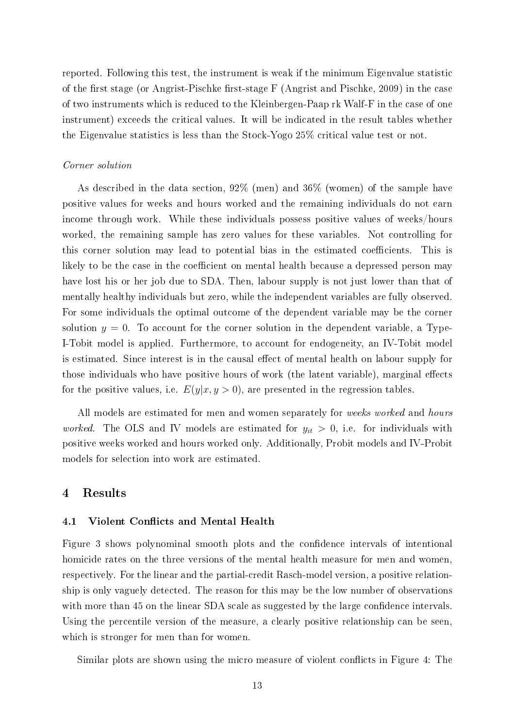reported. Following this test, the instrument is weak if the minimum Eigenvalue statistic of the first stage (or Angrist-Pischke first-stage  $F$  [\(Angrist and Pischke, 2009\)](#page-26-6) in the case of two instruments which is reduced to the Kleinbergen-Paap rk Walf-F in the case of one instrument) exceeds the critical values. It will be indicated in the result tables whether the Eigenvalue statistics is less than the Stock-Yogo 25% critical value test or not.

#### Corner solution

As described in the data section, 92% (men) and 36% (women) of the sample have positive values for weeks and hours worked and the remaining individuals do not earn income through work. While these individuals possess positive values of weeks/hours worked, the remaining sample has zero values for these variables. Not controlling for this corner solution may lead to potential bias in the estimated coefficients. This is likely to be the case in the coefficient on mental health because a depressed person may have lost his or her job due to SDA. Then, labour supply is not just lower than that of mentally healthy individuals but zero, while the independent variables are fully observed. For some individuals the optimal outcome of the dependent variable may be the corner solution  $y = 0$ . To account for the corner solution in the dependent variable, a Type-I-Tobit model is applied. Furthermore, to account for endogeneity, an IV-Tobit model is estimated. Since interest is in the causal effect of mental health on labour supply for those individuals who have positive hours of work (the latent variable), marginal effects for the positive values, i.e.  $E(y|x, y > 0)$ , are presented in the regression tables.

All models are estimated for men and women separately for *weeks worked* and *hours* worked. The OLS and IV models are estimated for  $y_{it} > 0$ , i.e. for individuals with positive weeks worked and hours worked only. Additionally, Probit models and IV-Probit models for selection into work are estimated.

## 4 Results

#### 4.1 Violent Conflicts and Mental Health

Figure [3](#page-14-0) shows polynominal smooth plots and the condence intervals of intentional homicide rates on the three versions of the mental health measure for men and women, respectively. For the linear and the partial-credit Rasch-model version, a positive relationship is only vaguely detected. The reason for this may be the low number of observations with more than 45 on the linear SDA scale as suggested by the large confidence intervals. Using the percentile version of the measure, a clearly positive relationship can be seen, which is stronger for men than for women.

Similar plots are shown using the micro measure of violent conflicts in Figure [4:](#page-17-0) The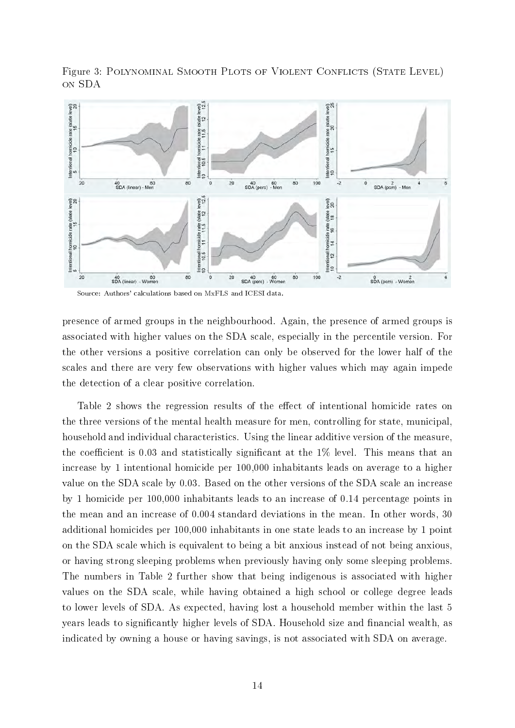<span id="page-14-0"></span>

Figure 3: POLYNOMINAL SMOOTH PLOTS OF VIOLENT CONFLICTS (STATE LEVEL) on SDA

Source: Authors' calculations based on MxFLS and ICESI data.

presence of armed groups in the neighbourhood. Again, the presence of armed groups is associated with higher values on the SDA scale, especially in the percentile version. For the other versions a positive correlation can only be observed for the lower half of the scales and there are very few observations with higher values which may again impede the detection of a clear positive correlation.

Table [2](#page-15-0) shows the regression results of the effect of intentional homicide rates on the three versions of the mental health measure for men, controlling for state, municipal, household and individual characteristics. Using the linear additive version of the measure, the coefficient is 0.03 and statistically significant at the  $1\%$  level. This means that an increase by 1 intentional homicide per 100,000 inhabitants leads on average to a higher value on the SDA scale by 0.03. Based on the other versions of the SDA scale an increase by 1 homicide per 100,000 inhabitants leads to an increase of 0.14 percentage points in the mean and an increase of 0.004 standard deviations in the mean. In other words, 30 additional homicides per 100,000 inhabitants in one state leads to an increase by 1 point on the SDA scale which is equivalent to being a bit anxious instead of not being anxious, or having strong sleeping problems when previously having only some sleeping problems. The numbers in Table [2](#page-15-0) further show that being indigenous is associated with higher values on the SDA scale, while having obtained a high school or college degree leads to lower levels of SDA. As expected, having lost a household member within the last 5 years leads to significantly higher levels of SDA. Household size and financial wealth, as indicated by owning a house or having savings, is not associated with SDA on average.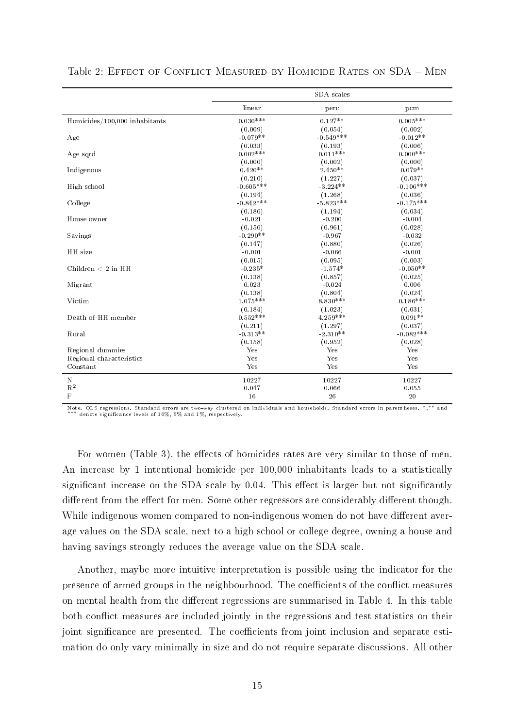|                               |             | SDA scales  |             |
|-------------------------------|-------------|-------------|-------------|
|                               | linear      | perc        | pcm         |
| Homicides/100,000 inhabitants | $0.030***$  | $0.127**$   | $0.005***$  |
|                               | (0.009)     | (0.054)     | (0.002)     |
| Age                           | $-0.079**$  | $-0.549***$ | $-0.012**$  |
|                               | (0.033)     | (0.193)     | (0.006)     |
| Age sqrd                      | $0.002***$  | $0.011***$  | $0.000***$  |
|                               | (0.000)     | (0.002)     | (0.000)     |
| Indigenous                    | $0.420**$   | $2.450**$   | $0.079**$   |
|                               | (0.210)     | (1.227)     | (0.037)     |
| High school                   | $-0.605***$ | $-3.224**$  | $-0.106***$ |
|                               | (0.194)     | (1.268)     | (0.036)     |
| College                       | $-0.842***$ | $-5.823***$ | $-0.175***$ |
|                               | (0.186)     | (1.194)     | (0.034)     |
| House owner                   | $-0.021$    | $-0.200$    | $-0.004$    |
|                               | (0.156)     | (0.961)     | (0.028)     |
| Savings                       | $-0.290**$  | $-0.967$    | $-0.032$    |
|                               | (0.147)     | (0.880)     | (0.026)     |
| HH size                       | $-0.001$    | $-0.066$    | $-0.001$    |
|                               | (0.015)     | (0.095)     | (0.003)     |
| Children $< 2$ in HH          | $-0.235*$   | $-1.574*$   | $-0.050**$  |
|                               | (0.138)     | (0.857)     | (0.025)     |
| Migrant                       | 0.023       | $-0.024$    | 0.006       |
|                               | (0.138)     | (0.804)     | (0.024)     |
| Victim                        | $1.075***$  | $8.830***$  | $0.186***$  |
|                               | (0.184)     | (1.023)     | (0.031)     |
| Death of HH member            | $0.552***$  | $4.259***$  | $0.091**$   |
|                               | (0.211)     | (1.297)     | (0.037)     |
| Rural                         | $-0.313**$  | $-2.310**$  | $-0.082***$ |
|                               | (0.158)     | (0.952)     | (0.028)     |
| Regional dummies              | Yes         | Yes         | Yes         |
| Regional characteristics      | Yes         | Yes         | Yes         |
| Constant                      | Yes         | Yes         | Yes         |
| $\mathbf N$                   | 10227       | 10227       | 10227       |
| $\mathbf{R}^2$                | 0.047       | 0.066       | 0.055       |
| $\mathbf F$                   | 16          | 26          | 20          |

<span id="page-15-0"></span>

| Table 2: EFFECT OF CONFLICT MEASURED BY HOMICIDE RATES ON SDA - MEN |  |  |
|---------------------------------------------------------------------|--|--|
|---------------------------------------------------------------------|--|--|

Note: OLS regressions. Standard errors are two-way clustered on individuals and households. Standard errors in parentheses. <sup>∗</sup>, ∗∗ and ∗∗∗ denote signicance levels of 10%, 5% and 1%, respectively.

For women (Table [3\)](#page-16-0), the effects of homicides rates are very similar to those of men. An increase by 1 intentional homicide per 100,000 inhabitants leads to a statistically significant increase on the SDA scale by  $0.04$ . This effect is larger but not significantly different from the effect for men. Some other regressors are considerably different though. While indigenous women compared to non-indigenous women do not have different average values on the SDA scale, next to a high school or college degree, owning a house and having savings strongly reduces the average value on the SDA scale.

Another, maybe more intuitive interpretation is possible using the indicator for the presence of armed groups in the neighbourhood. The coefficients of the conflict measures on mental health from the different regressions are summarised in Table [4.](#page-18-0) In this table both conflict measures are included jointly in the regressions and test statistics on their joint significance are presented. The coefficients from joint inclusion and separate estimation do only vary minimally in size and do not require separate discussions. All other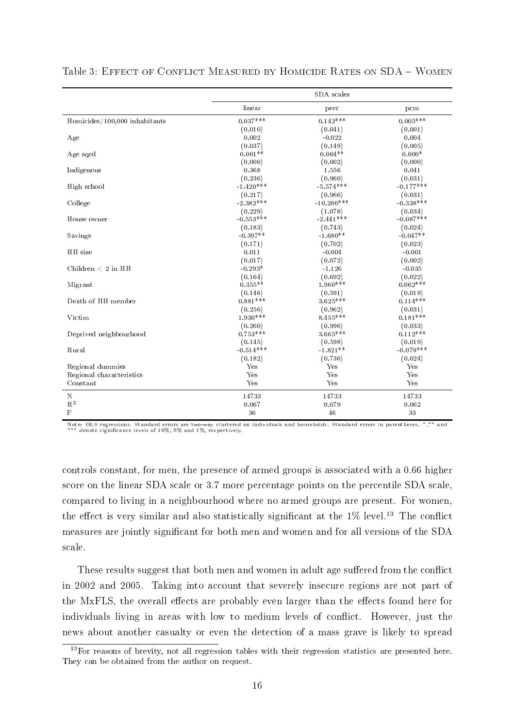|                               |             | SDA scales   |             |
|-------------------------------|-------------|--------------|-------------|
|                               | linear      | perc         | pcm         |
| Homicides/100,000 inhabitants | $0.037***$  | $0.142***$   | $0.005***$  |
|                               | (0.010)     | (0.041)      | (0.001)     |
| Age                           | 0.002       | $-0.022$     | 0.004       |
|                               | (0.037)     | (0.149)      | (0.005)     |
| Age sqrd                      | $0.001**$   | $0.004**$    | $0.000*$    |
|                               | (0.000)     | (0.002)      | (0.000)     |
| Indigenous                    | 0.368       | 1.556        | 0.041       |
|                               | (0.236)     | (0.960)      | (0.031)     |
| High school                   | $-1.420***$ | $-5.574***$  | $-0.177***$ |
|                               | (0.217)     | (0.966)      | (0.031)     |
| College                       | $-2.382***$ | $-10.286***$ | $-0.338***$ |
|                               | (0.229)     | (1.078)      | (0.034)     |
| House owner                   | $-0.553***$ | $-2.441***$  | $-0.087***$ |
|                               | (0.183)     | (0.743)      | (0.024)     |
| Savings                       | $-0.397**$  | $-1.680**$   | $-0.047**$  |
|                               | (0.171)     | (0.702)      | (0.023)     |
| HH size                       | 0.011       | $-0.004$     | $-0.001$    |
|                               | (0.017)     | (0.072)      | (0.002)     |
| Children $< 2$ in HH          | $-0.293*$   | $-1.126$     | $-0.035$    |
|                               | (0.164)     | (0.692)      | (0.022)     |
| Migrant                       | $0.355**$   | $1.960***$   | $0.062***$  |
|                               | (0.146)     | (0.591)      | (0.019)     |
| Death of HH member            | $0.881***$  | $3.625***$   | $0.114***$  |
|                               | (0.256)     | (0.962)      | (0.031)     |
| Victim                        | $1.930***$  | $8.455***$   | $0.181***$  |
|                               | (0.260)     | (0.996)      | (0.033)     |
| Deprived neighbourhood        | $0.753***$  | $3.665***$   | $0.112***$  |
|                               | (0.145)     | (0.598)      | (0.019)     |
| Rural                         | $-0.514***$ | $-1.821**$   | $-0.079***$ |
|                               | (0.182)     | (0.736)      | (0.024)     |
| Regional dummies              | Yes         | Yes          | Yes         |
| Regional characteristics      | Yes         | Yes          | Yes         |
| Constant                      | Yes         | Yes          | Yes         |
| $\mathbf N$                   | 14733       | 14733        | 14733       |
| $\mathbf{R}^2$                | 0.067       | 0.079        | 0.062       |
| $\mathbf F$                   | 36          | 46           | 33          |

<span id="page-16-0"></span>Table 3: EFFECT OF CONFLICT MEASURED BY HOMICIDE RATES ON SDA - WOMEN

Note: OLS regressions. Standard errors are two-way clustered on individuals and households. Standard errors in parentheses. \*,\*\* and<br>\*\*\* denote significance levels of 10%, 5% and 1%, respectively.

controls constant, for men, the presence of armed groups is associated with a 0.66 higher score on the linear SDA scale or 3.7 more percentage points on the percentile SDA scale, compared to living in a neighbourhood where no armed groups are present. For women, the effect is very similar and also statistically significant at the  $1\%$  level.<sup>13</sup> The conflict measures are jointly significant for both men and women and for all versions of the SDA scale.

These results suggest that both men and women in adult age suffered from the conflict in 2002 and 2005. Taking into account that severely insecure regions are not part of the MxFLS, the overall effects are probably even larger than the effects found here for individuals living in areas with low to medium levels of conflict. However, just the news about another casualty or even the detection of a mass grave is likely to spread

<sup>13</sup>For reasons of brevity, not all regression tables with their regression statistics are presented here. They can be obtained from the author on request.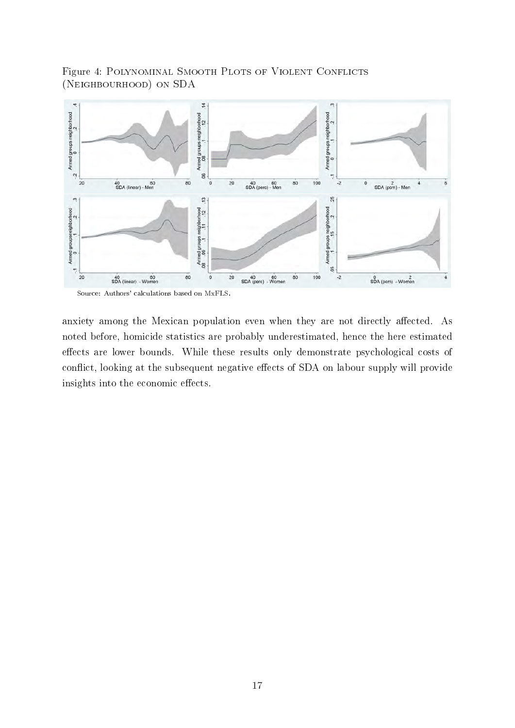Figure 4: POLYNOMINAL SMOOTH PLOTS OF VIOLENT CONFLICTS (Neighbourhood) on SDA

<span id="page-17-0"></span>

Source: Authors' calculations based on MxFLS.

anxiety among the Mexican population even when they are not directly affected. As noted before, homicide statistics are probably underestimated, hence the here estimated effects are lower bounds. While these results only demonstrate psychological costs of conflict, looking at the subsequent negative effects of SDA on labour supply will provide insights into the economic effects.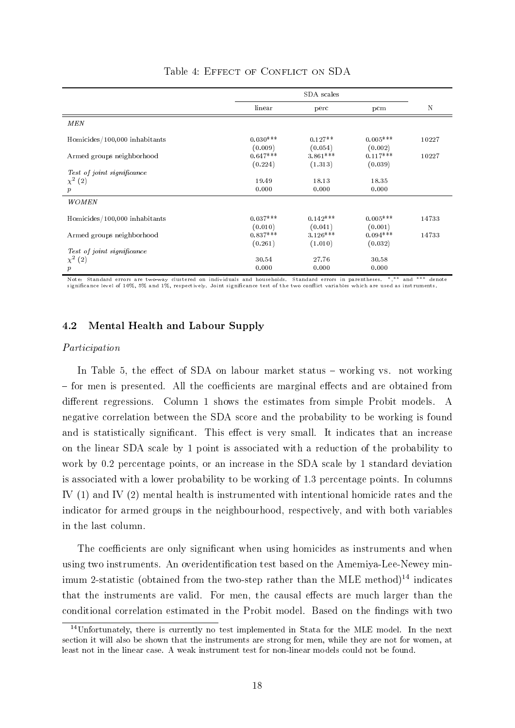<span id="page-18-0"></span>

|                                            |                       | SDA scales            |                       |             |
|--------------------------------------------|-----------------------|-----------------------|-----------------------|-------------|
|                                            | linear                | perc                  | pcm                   | $\mathbf N$ |
| MEN                                        |                       |                       |                       |             |
| Homicides/100,000 inhabitants              | $0.030***$<br>(0.009) | $0.127**$<br>(0.054)  | $0.005***$<br>(0.002) | 10227       |
| Armed groups neighborhood                  | $0.647***$<br>(0.224) | $3.861***$<br>(1.313) | $0.117***$<br>(0.039) | 10227       |
| Test of joint significance<br>$\chi^2$ (2) | 19.49                 | 18.13                 | 18.35                 |             |
| $\boldsymbol{p}$                           | 0.000                 | 0.000                 | 0.000                 |             |
| WOMEN                                      |                       |                       |                       |             |
| Homicides/100,000 inhabitants              | $0.037***$<br>(0.010) | $0.142***$<br>(0.041) | $0.005***$<br>(0.001) | 14733       |
| Armed groups neighborhood                  | $0.837***$<br>(0.261) | $3.126***$<br>(1.010) | $0.094***$<br>(0.032) | 14733       |
| Test of joint significance                 |                       |                       |                       |             |
| $\chi^2(2)$                                | 30.54                 | 27.76                 | 30.58                 |             |
| $\boldsymbol{p}$                           | 0.000                 | 0.000                 | 0.000                 |             |

## Table 4: EFFECT OF CONFLICT ON SDA

Note: Standard errors are two-way clustered on individuals and households. Standard errors in parentheses. \*,\*\* and \*\*\* denote<br>significance level of 10%, 5% and 1%, respectively. Joint significance test of the two conflict

## 4.2 Mental Health and Labour Supply

#### Participation

In Table [5,](#page-19-0) the effect of SDA on labour market status  $-$  working vs. not working - for men is presented. All the coefficients are marginal effects and are obtained from different regressions. Column 1 shows the estimates from simple Probit models. A negative correlation between the SDA score and the probability to be working is found and is statistically significant. This effect is very small. It indicates that an increase on the linear SDA scale by 1 point is associated with a reduction of the probability to work by 0.2 percentage points, or an increase in the SDA scale by 1 standard deviation is associated with a lower probability to be working of 1.3 percentage points. In columns IV (1) and IV (2) mental health is instrumented with intentional homicide rates and the indicator for armed groups in the neighbourhood, respectively, and with both variables in the last column.

The coefficients are only significant when using homicides as instruments and when using two instruments. An overidentification test based on the Amemiya-Lee-Newey minimum 2-statistic (obtained from the two-step rather than the MLE method)<sup>14</sup> indicates that the instruments are valid. For men, the causal effects are much larger than the conditional correlation estimated in the Probit model. Based on the findings with two

<sup>14</sup>Unfortunately, there is currently no test implemented in Stata for the MLE model. In the next section it will also be shown that the instruments are strong for men, while they are not for women, at least not in the linear case. A weak instrument test for non-linear models could not be found.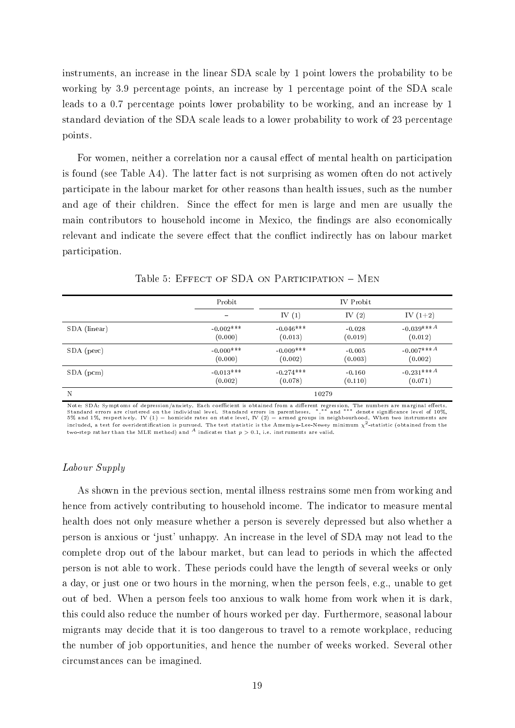instruments, an increase in the linear SDA scale by 1 point lowers the probability to be working by 3.9 percentage points, an increase by 1 percentage point of the SDA scale leads to a 0.7 percentage points lower probability to be working, and an increase by 1 standard deviation of the SDA scale leads to a lower probability to work of 23 percentage points.

For women, neither a correlation nor a causal effect of mental health on participation is found (see Table [A4\)](#page-34-0). The latter fact is not surprising as women often do not actively participate in the labour market for other reasons than health issues, such as the number and age of their children. Since the effect for men is large and men are usually the main contributors to household income in Mexico, the findings are also economically relevant and indicate the severe effect that the conflict indirectly has on labour market participation.

<span id="page-19-0"></span>

|              | Probit                   |             | IV Probit |              |
|--------------|--------------------------|-------------|-----------|--------------|
|              | $\overline{\phantom{m}}$ | IV $(1)$    | IV $(2)$  | IV $(1+2)$   |
| SDA (linear) | $-0.002***$              | $-0.046***$ | $-0.028$  | $-0.039***A$ |
|              | (0.000)                  | (0.013)     | (0.019)   | (0.012)      |
| SDA (perc)   | $-0.000***$              | $-0.009***$ | $-0.005$  | $-0.007***A$ |
|              | (0.000)                  | (0.002)     | (0.003)   | (0.002)      |
| $SDA$ (pcm)  | $-0.013***$              | $-0.274***$ | $-0.160$  | $-0.231***A$ |
|              | (0.002)                  | (0.078)     | (0.110)   | (0.071)      |
| N            |                          | 10279       |           |              |

Table 5: EFFECT OF SDA ON PARTICIPATION - MEN

Note: SDA: Symptoms of depression/anxiety. Each coefficient is obtained from a different regression. The numbers are marginal effects.<br>Standard errors are clustered on the individual level. Standard errors in parentheses. included, a test for overidentification is pursued. The test statistic is the Amemiya-Lee-Newey minimum  $\chi^2$ -statistic (obtained from the two-step rather than the MLE method) and  $A$  indicates that  $p > 0.1$ , i.e. instruments are valid.

#### Labour Supply

As shown in the previous section, mental illness restrains some men from working and hence from actively contributing to household income. The indicator to measure mental health does not only measure whether a person is severely depressed but also whether a person is anxious or `just' unhappy. An increase in the level of SDA may not lead to the complete drop out of the labour market, but can lead to periods in which the affected person is not able to work. These periods could have the length of several weeks or only a day, or just one or two hours in the morning, when the person feels, e.g., unable to get out of bed. When a person feels too anxious to walk home from work when it is dark, this could also reduce the number of hours worked per day. Furthermore, seasonal labour migrants may decide that it is too dangerous to travel to a remote workplace, reducing the number of job opportunities, and hence the number of weeks worked. Several other circumstances can be imagined.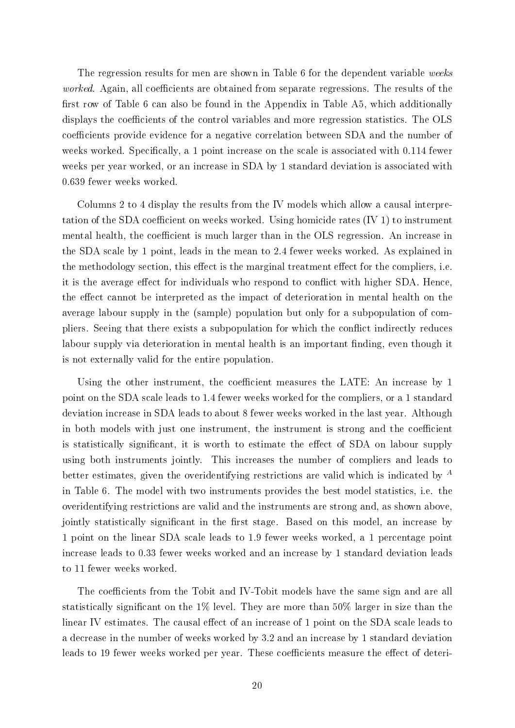The regression results for men are shown in Table [6](#page-21-0) for the dependent variable weeks worked. Again, all coefficients are obtained from separate regressions. The results of the first row of Table [6](#page-21-0) can also be found in the Appendix in Table [A5,](#page-35-0) which additionally displays the coefficients of the control variables and more regression statistics. The OLS coefficients provide evidence for a negative correlation between SDA and the number of weeks worked. Specifically, a 1 point increase on the scale is associated with 0.114 fewer weeks per year worked, or an increase in SDA by 1 standard deviation is associated with 0.639 fewer weeks worked.

Columns 2 to 4 display the results from the IV models which allow a causal interpretation of the SDA coefficient on weeks worked. Using homicide rates  $(IV 1)$  to instrument mental health, the coefficient is much larger than in the OLS regression. An increase in the SDA scale by 1 point, leads in the mean to 2.4 fewer weeks worked. As explained in the methodology section, this effect is the marginal treatment effect for the compliers, i.e. it is the average effect for individuals who respond to conflict with higher SDA. Hence, the effect cannot be interpreted as the impact of deterioration in mental health on the average labour supply in the (sample) population but only for a subpopulation of compliers. Seeing that there exists a subpopulation for which the conflict indirectly reduces labour supply via deterioration in mental health is an important finding, even though it is not externally valid for the entire population.

Using the other instrument, the coefficient measures the LATE: An increase by 1 point on the SDA scale leads to 1.4 fewer weeks worked for the compliers, or a 1 standard deviation increase in SDA leads to about 8 fewer weeks worked in the last year. Although in both models with just one instrument, the instrument is strong and the coefficient is statistically significant, it is worth to estimate the effect of SDA on labour supply using both instruments jointly. This increases the number of compliers and leads to better estimates, given the overidentifying restrictions are valid which is indicated by  $^A$ in Table [6.](#page-21-0) The model with two instruments provides the best model statistics, i.e. the overidentifying restrictions are valid and the instruments are strong and, as shown above, jointly statistically significant in the first stage. Based on this model, an increase by 1 point on the linear SDA scale leads to 1.9 fewer weeks worked, a 1 percentage point increase leads to 0.33 fewer weeks worked and an increase by 1 standard deviation leads to 11 fewer weeks worked.

The coefficients from the Tobit and IV-Tobit models have the same sign and are all statistically significant on the 1% level. They are more than  $50\%$  larger in size than the linear IV estimates. The causal effect of an increase of 1 point on the SDA scale leads to a decrease in the number of weeks worked by 3.2 and an increase by 1 standard deviation leads to 19 fewer weeks worked per year. These coefficients measure the effect of deteri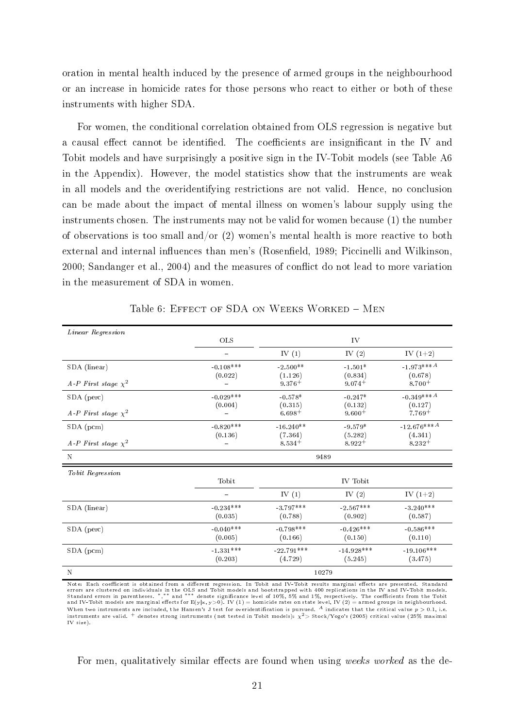oration in mental health induced by the presence of armed groups in the neighbourhood or an increase in homicide rates for those persons who react to either or both of these instruments with higher SDA.

For women, the conditional correlation obtained from OLS regression is negative but a causal effect cannot be identified. The coefficients are insignificant in the IV and Tobit models and have surprisingly a positive sign in the IV-Tobit models (see Table [A6](#page-36-0) in the Appendix). However, the model statistics show that the instruments are weak in all models and the overidentifying restrictions are not valid. Hence, no conclusion can be made about the impact of mental illness on women's labour supply using the instruments chosen. The instruments may not be valid for women because (1) the number of observations is too small and/or  $(2)$  women's mental health is more reactive to both external and internal influences than men's (Rosenfield, 1989; [Piccinelli and Wilkinson,](#page-28-17) [2000;](#page-28-17) [Sandanger et al., 2004\)](#page-29-9) and the measures of conflict do not lead to more variation in the measurement of SDA in women.

<span id="page-21-0"></span>

| Linear Regression        |                            |              |              |                           |
|--------------------------|----------------------------|--------------|--------------|---------------------------|
|                          | OLS                        |              | IV           |                           |
|                          |                            | IV $(1)$     | IV $(2)$     | IV $(1+2)$                |
| SDA (linear)             | $\,\mathchar`-0.108^{***}$ | $-2.500**$   | $-1.501*$    | $-1.973***A$              |
|                          | (0.022)                    | (1.126)      | (0.834)      | (0.678)                   |
| A-P First stage $\chi^2$ |                            | $9.376+$     | $9.074+$     | $8.700 +$                 |
| SDA (perc)               | $-0.029***$                | $-0.578*$    | $-0.247*$    | $-0.349***A$              |
|                          | (0.004)                    | (0.315)      | (0.132)      | (0.127)                   |
| A-P First stage $\chi^2$ |                            | $6.698+$     | $9.600+$     | $7.769+$                  |
| $SDA$ (pcm)              | $-0.820***$                | $-16.240**$  | $-9.579*$    | $-12.676***$ <sup>A</sup> |
|                          | (0.136)                    | (7.364)      | (5.282)      | (4.341)                   |
| A-P First stage $\chi^2$ |                            | $8.534+$     | $8.922 +$    | $8.232+$                  |
| $\mathbf N$              |                            |              | 9489         |                           |
| Tobit Regression         |                            |              |              |                           |
|                          | Tobit                      |              | IV Tobit     |                           |
|                          | $\overline{\phantom{0}}$   | IV $(1)$     | IV $(2)$     | IV $(1+2)$                |
| SDA (linear)             | $-0.234***$                | $-3.797***$  | $-2.567***$  | $-3.240***$               |
|                          | (0.035)                    | (0.788)      | (0.902)      | (0.587)                   |
| SDA (perc)               | $-0.040***$                | $-0.798***$  | $-0.426***$  | $\,\mathbf{-0.586^{***}}$ |
|                          | (0.005)                    | (0.166)      | (0.150)      | (0.110)                   |
| $SDA$ (pcm)              | $1.331***$                 | $-22.791***$ | $-14.928***$ | $-19.106***$              |
|                          | (0.203)                    | (4.729)      | (5.245)      | (3.475)                   |
| $\mathbf N$              |                            |              | 10279        |                           |

Table 6: EFFECT OF SDA ON WEEKS WORKED - MEN

Note: Each coefficient is obtained from a different regression. In Tobit and IV-Tobit results marginal effects are presented. Standard<br>errors are clustered on individuals in the OLS and Tobit models and bootstrapped with 4 When two instruments are included, the Hansen's J test for overidentification is pursued. A indicates that the critical value  $p > 0.1$ , i.e. instruments are valid.  $^+$  denotes strong instruments (not tested in Tobit models):  $\chi^2$ > Stock/Yogo's (2005) critical value (25% maximal IV size).

For men, qualitatively similar effects are found when using weeks worked as the de-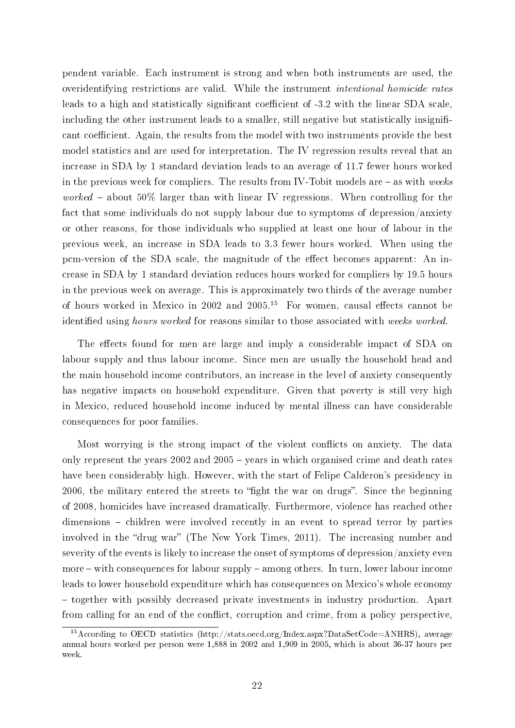pendent variable. Each instrument is strong and when both instruments are used, the overidentifying restrictions are valid. While the instrument intentional homicide rates leads to a high and statistically significant coefficient of -3.2 with the linear SDA scale, including the other instrument leads to a smaller, still negative but statistically insignificant coefficient. Again, the results from the model with two instruments provide the best model statistics and are used for interpretation. The IV regression results reveal that an increase in SDA by 1 standard deviation leads to an average of 11.7 fewer hours worked in the previous week for compliers. The results from IV-Tobit models are  $-$  as with weeks worked  $-$  about 50% larger than with linear IV regressions. When controlling for the fact that some individuals do not supply labour due to symptoms of depression/anxiety or other reasons, for those individuals who supplied at least one hour of labour in the previous week, an increase in SDA leads to 3.3 fewer hours worked. When using the pcm-version of the SDA scale, the magnitude of the effect becomes apparent: An increase in SDA by 1 standard deviation reduces hours worked for compliers by 19.5 hours in the previous week on average. This is approximately two thirds of the average number of hours worked in Mexico in 2002 and 2005.<sup>15</sup> For women, causal effects cannot be identified using hours worked for reasons similar to those associated with weeks worked.

The effects found for men are large and imply a considerable impact of SDA on labour supply and thus labour income. Since men are usually the household head and the main household income contributors, an increase in the level of anxiety consequently has negative impacts on household expenditure. Given that poverty is still very high in Mexico, reduced household income induced by mental illness can have considerable consequences for poor families.

Most worrying is the strong impact of the violent conflicts on anxiety. The data only represent the years 2002 and 2005 - years in which organised crime and death rates have been considerably high. However, with the start of Felipe Calderon's presidency in 2006, the military entered the streets to "fight the war on drugs". Since the beginning of 2008, homicides have increased dramatically. Furthermore, violence has reached other dimensions – children were involved recently in an event to spread terror by parties involved in the "drug war" [\(The New York Times, 2011\)](#page-29-10). The increasing number and severity of the events is likely to increase the onset of symptoms of depression/anxiety even more  $-$  with consequences for labour supply  $-$  among others. In turn, lower labour income leads to lower household expenditure which has consequences on Mexico's whole economy - together with possibly decreased private investments in industry production. Apart from calling for an end of the conflict, corruption and crime, from a policy perspective,

<sup>15</sup>According to OECD statistics (http://stats.oecd.org/Index.aspx?DataSetCode=ANHRS), average annual hours worked per person were 1,888 in 2002 and 1,909 in 2005, which is about 36-37 hours per week.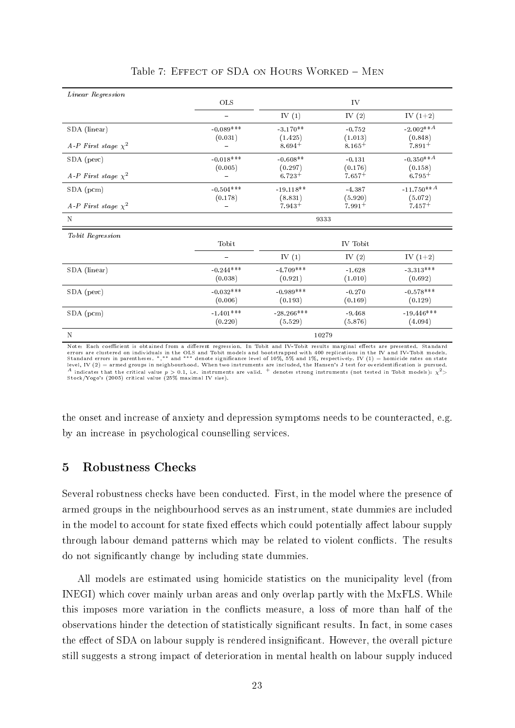| Linear Regression        |                        |                         |                      |                                  |
|--------------------------|------------------------|-------------------------|----------------------|----------------------------------|
|                          | OLS                    |                         | IV                   |                                  |
|                          |                        | IV $(1)$                | IV $(2)$             | IV $(1+2)$                       |
| SDA (linear)             | $-0.089***$            | $-3.170**$              | $-0.752$             | $-2.002**A$                      |
| A-P First stage $\chi^2$ | (0.031)                | (1.425)<br>$8.694+$     | (1.013)<br>$8.165+$  | (0.848)<br>$7.891+$              |
| SDA (perc)               | $-0.018***$            | $-0.608**$              | $-0.131$             | $-0.350**A$                      |
| A-P First stage $\chi^2$ | (0.005)                | (0.297)<br>$6.723+$     | (0.176)<br>$7.657+$  | (0.158)<br>$6.795+$              |
| SDA (pcm)                | $-0.504***$            | $-19.118**$             | $-4.387$             | $-11.750**A$                     |
| A-P First stage $\chi^2$ | (0.178)                | (8.831)<br>$7.943+$     | (5.920)<br>$7.991 +$ | (5.072)<br>$7.457+$              |
| $\mathbf N$              |                        | 9333                    |                      |                                  |
| Tobit Regression         |                        |                         |                      |                                  |
|                          | Tobit                  |                         | IV Tobit             |                                  |
|                          |                        | IV $(1)$                | IV $(2)$             | IV $(1+2)$                       |
| SDA (linear)             | $-0.244***$<br>(0.038) | $-4.709***$<br>(0.921)  | $-1.628$<br>(1.010)  | $\textbf{ -3 }313***$<br>(0.692) |
| SDA (perc)               | $-0.032***$<br>(0.006) | $-0.989***$<br>(0.193)  | $-0.270$<br>(0.169)  | $-0.578***$<br>(0.129)           |
| SDA (pcm)                | $-1.401***$<br>(0.220) | $-28.266***$<br>(5.529) | $-9.468$<br>(5.876)  | $-19.446***$<br>(4.094)          |
| $\mathbf N$              |                        | 10279                   |                      |                                  |

Table 7: EFFECT OF SDA ON HOURS WORKED - MEN

Note: Each coefficient is obtained from a different regression. In Tobit and IV-Tobit results marginal effects are presented. Standard errors are clustered on individuals in the OLS and Tobit models and bootstrapped with 400 replications in the IV and IV-Tobit models.<br>Standard errors in parentheses. \*,\*\* and \*\*\* denote significance level of 10%, 5% and 1%  $^A$  indicates that the critical value  $p > 0.1$ , i.e. instruments are valid. + denotes strong instruments (not tested in Tobit models):  $\chi^2$ <br>Stock/Yogo's (2005) critical value (25% maximal IV size).

the onset and increase of anxiety and depression symptoms needs to be counteracted, e.g. by an increase in psychological counselling services.

## 5 Robustness Checks

Several robustness checks have been conducted. First, in the model where the presence of armed groups in the neighbourhood serves as an instrument, state dummies are included in the model to account for state fixed effects which could potentially affect labour supply through labour demand patterns which may be related to violent conflicts. The results do not signicantly change by including state dummies.

All models are estimated using homicide statistics on the municipality level (from INEGI) which cover mainly urban areas and only overlap partly with the MxFLS. While this imposes more variation in the conflicts measure, a loss of more than half of the observations hinder the detection of statistically signicant results. In fact, in some cases the effect of SDA on labour supply is rendered insignificant. However, the overall picture still suggests a strong impact of deterioration in mental health on labour supply induced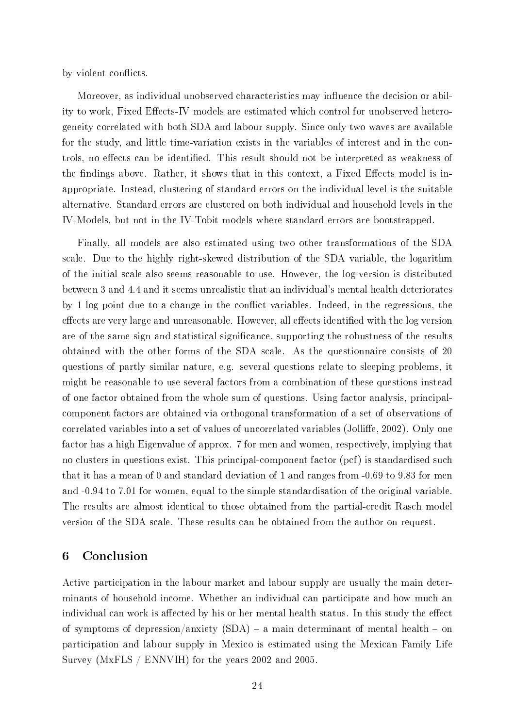by violent conflicts.

Moreover, as individual unobserved characteristics may influence the decision or ability to work, Fixed Effects-IV models are estimated which control for unobserved heterogeneity correlated with both SDA and labour supply. Since only two waves are available for the study, and little time-variation exists in the variables of interest and in the controls, no effects can be identified. This result should not be interpreted as weakness of the findings above. Rather, it shows that in this context, a Fixed Effects model is inappropriate. Instead, clustering of standard errors on the individual level is the suitable alternative. Standard errors are clustered on both individual and household levels in the IV-Models, but not in the IV-Tobit models where standard errors are bootstrapped.

Finally, all models are also estimated using two other transformations of the SDA scale. Due to the highly right-skewed distribution of the SDA variable, the logarithm of the initial scale also seems reasonable to use. However, the log-version is distributed between 3 and 4.4 and it seems unrealistic that an individual's mental health deteriorates by 1 log-point due to a change in the conflict variables. Indeed, in the regressions, the effects are very large and unreasonable. However, all effects identified with the log version are of the same sign and statistical significance, supporting the robustness of the results obtained with the other forms of the SDA scale. As the questionnaire consists of 20 questions of partly similar nature, e.g. several questions relate to sleeping problems, it might be reasonable to use several factors from a combination of these questions instead of one factor obtained from the whole sum of questions. Using factor analysis, principalcomponent factors are obtained via orthogonal transformation of a set of observations of correlated variables into a set of values of uncorrelated variables (Jolliffe, 2002). Only one factor has a high Eigenvalue of approx. 7 for men and women, respectively, implying that no clusters in questions exist. This principal-component factor (pcf) is standardised such that it has a mean of 0 and standard deviation of 1 and ranges from -0.69 to 9.83 for men and -0.94 to 7.01 for women, equal to the simple standardisation of the original variable. The results are almost identical to those obtained from the partial-credit Rasch model version of the SDA scale. These results can be obtained from the author on request.

## 6 Conclusion

Active participation in the labour market and labour supply are usually the main determinants of household income. Whether an individual can participate and how much an individual can work is affected by his or her mental health status. In this study the effect of symptoms of depression/anxiety  $(SDA)$  – a main determinant of mental health – on participation and labour supply in Mexico is estimated using the Mexican Family Life Survey (MxFLS / ENNVIH) for the years 2002 and 2005.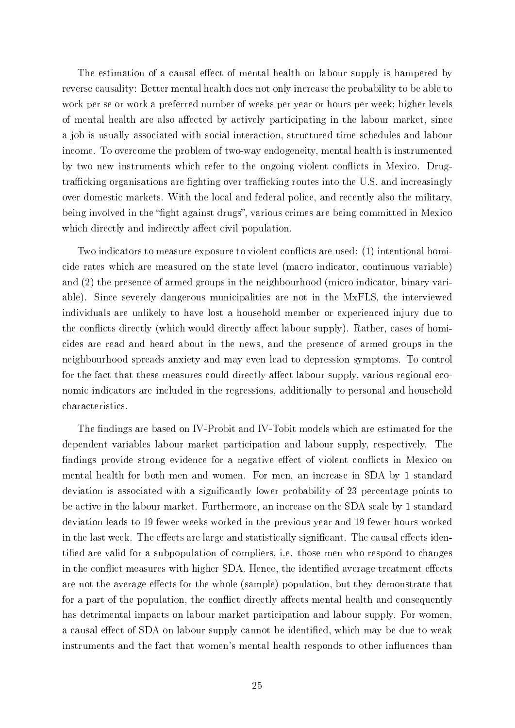The estimation of a causal effect of mental health on labour supply is hampered by reverse causality: Better mental health does not only increase the probability to be able to work per se or work a preferred number of weeks per year or hours per week; higher levels of mental health are also affected by actively participating in the labour market, since a job is usually associated with social interaction, structured time schedules and labour income. To overcome the problem of two-way endogeneity, mental health is instrumented by two new instruments which refer to the ongoing violent conflicts in Mexico. Drugtrafficking organisations are fighting over trafficking routes into the U.S. and increasingly over domestic markets. With the local and federal police, and recently also the military, being involved in the "fight against drugs", various crimes are being committed in Mexico which directly and indirectly affect civil population.

Two indicators to measure exposure to violent conflicts are used: (1) intentional homicide rates which are measured on the state level (macro indicator, continuous variable) and (2) the presence of armed groups in the neighbourhood (micro indicator, binary variable). Since severely dangerous municipalities are not in the MxFLS, the interviewed individuals are unlikely to have lost a household member or experienced injury due to the conflicts directly (which would directly affect labour supply). Rather, cases of homicides are read and heard about in the news, and the presence of armed groups in the neighbourhood spreads anxiety and may even lead to depression symptoms. To control for the fact that these measures could directly affect labour supply, various regional economic indicators are included in the regressions, additionally to personal and household characteristics.

The findings are based on IV-Probit and IV-Tobit models which are estimated for the dependent variables labour market participation and labour supply, respectively. The findings provide strong evidence for a negative effect of violent conflicts in Mexico on mental health for both men and women. For men, an increase in SDA by 1 standard deviation is associated with a signicantly lower probability of 23 percentage points to be active in the labour market. Furthermore, an increase on the SDA scale by 1 standard deviation leads to 19 fewer weeks worked in the previous year and 19 fewer hours worked in the last week. The effects are large and statistically significant. The causal effects identified are valid for a subpopulation of compliers, i.e. those men who respond to changes in the conflict measures with higher SDA. Hence, the identified average treatment effects are not the average effects for the whole (sample) population, but they demonstrate that for a part of the population, the conflict directly affects mental health and consequently has detrimental impacts on labour market participation and labour supply. For women, a causal effect of SDA on labour supply cannot be identified, which may be due to weak instruments and the fact that women's mental health responds to other influences than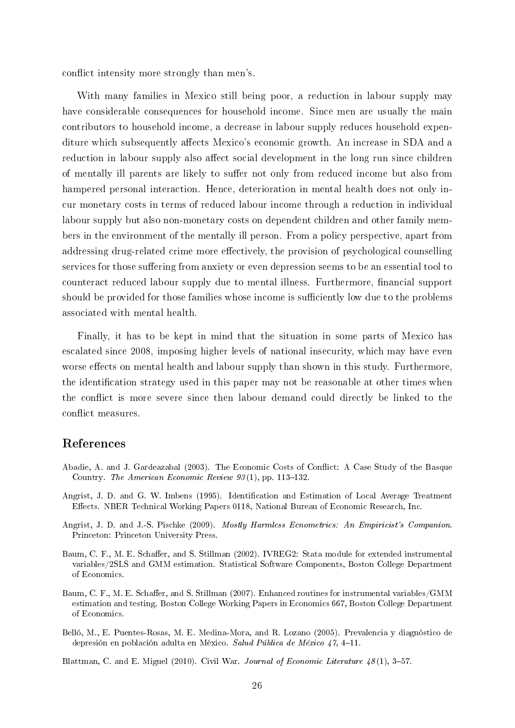conflict intensity more strongly than men's.

With many families in Mexico still being poor, a reduction in labour supply may have considerable consequences for household income. Since men are usually the main contributors to household income, a decrease in labour supply reduces household expenditure which subsequently affects Mexico's economic growth. An increase in SDA and a reduction in labour supply also affect social development in the long run since children of mentally ill parents are likely to suffer not only from reduced income but also from hampered personal interaction. Hence, deterioration in mental health does not only incur monetary costs in terms of reduced labour income through a reduction in individual labour supply but also non-monetary costs on dependent children and other family members in the environment of the mentally ill person. From a policy perspective, apart from addressing drug-related crime more effectively, the provision of psychological counselling services for those suffering from anxiety or even depression seems to be an essential tool to counteract reduced labour supply due to mental illness. Furthermore, financial support should be provided for those families whose income is sufficiently low due to the problems associated with mental health.

Finally, it has to be kept in mind that the situation in some parts of Mexico has escalated since 2008, imposing higher levels of national insecurity, which may have even worse effects on mental health and labour supply than shown in this study. Furthermore, the identification strategy used in this paper may not be reasonable at other times when the conflict is more severe since then labour demand could directly be linked to the conflict measures.

#### References

- <span id="page-26-1"></span>Abadie, A. and J. Gardeazabal (2003). The Economic Costs of Conflict: A Case Study of the Basque Country. The American Economic Review  $93(1)$ , pp. 113-132.
- <span id="page-26-3"></span>Angrist, J. D. and G. W. Imbens (1995). Identification and Estimation of Local Average Treatment Effects. NBER Technical Working Papers 0118, National Bureau of Economic Research, Inc.
- <span id="page-26-6"></span>Angrist, J. D. and J.-S. Pischke (2009). Mostly Harmless Ecnometrics: An Empiricist's Companion. Princeton: Princeton University Press.
- <span id="page-26-5"></span>Baum, C. F., M. E. Schaffer, and S. Stillman (2002). IVREG2: Stata module for extended instrumental variables/2SLS and GMM estimation. Statistical Software Components, Boston College Department of Economics.
- <span id="page-26-4"></span>Baum, C. F., M. E. Schaffer, and S. Stillman (2007). Enhanced routines for instrumental variables/GMM estimation and testing. Boston College Working Papers in Economics 667, Boston College Department of Economics.
- <span id="page-26-2"></span>Belló, M., E. Puentes-Rosas, M. E. Medina-Mora, and R. Lozano (2005). Prevalencia y diagnóstico de depresión en población adulta en México. Salud Pública de México 47, 4-11.

<span id="page-26-0"></span>Blattman, C. and E. Miguel (2010). Civil War. Journal of Economic Literature  $48(1)$ , 3-57.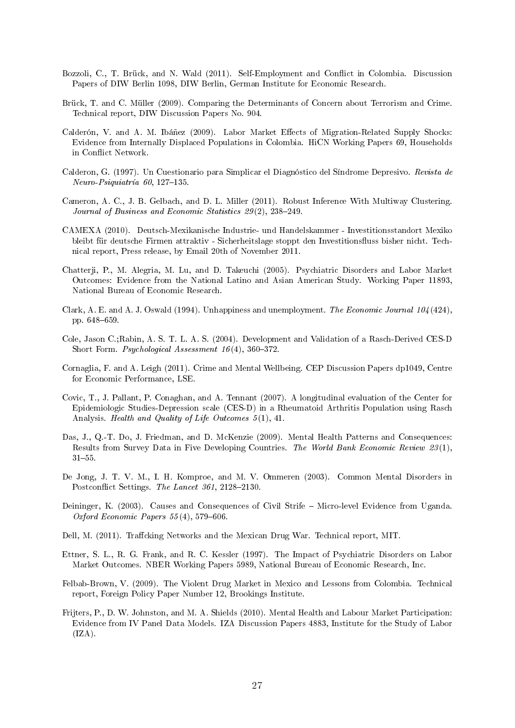- <span id="page-27-1"></span>Bozzoli, C., T. Brück, and N. Wald (2011). Self-Employment and Conflict in Colombia. Discussion Papers of DIW Berlin 1098, DIW Berlin, German Institute for Economic Research.
- <span id="page-27-10"></span>Brück, T. and C. Müller (2009). Comparing the Determinants of Concern about Terrorism and Crime. Technical report, DIW Discussion Papers No. 904.
- <span id="page-27-0"></span>Calderón, V. and A. M. Ibáñez (2009). Labor Market Effects of Migration-Related Supply Shocks: Evidence from Internally Displaced Populations in Colombia. HiCN Working Papers 69, Households in Conflict Network.
- <span id="page-27-12"></span>Calderon, G. (1997). Un Cuestionario para Simplicar el Diagnóstico del Síndrome Depresivo. Revista de  $Neuro-Psiquiatria 60, 127–135.$
- <span id="page-27-17"></span>Cameron, A. C., J. B. Gelbach, and D. L. Miller (2011). Robust Inference With Multiway Clustering. Journal of Business and Economic Statistics  $29(2)$ ,  $238-249$ .
- <span id="page-27-5"></span>CAMEXA (2010). Deutsch-Mexikanische Industrie- und Handelskammer - Investitionsstandort Mexiko bleibt für deutsche Firmen attraktiv - Sicherheitslage stoppt den Investitionsfluss bisher nicht. Technical report, Press release, by Email 20th of November 2011.
- <span id="page-27-2"></span>Chatterji, P., M. Alegria, M. Lu, and D. Takeuchi (2005). Psychiatric Disorders and Labor Market Outcomes: Evidence from the National Latino and Asian American Study. Working Paper 11893, National Bureau of Economic Research.
- <span id="page-27-16"></span>Clark, A. E. and A. J. Oswald (1994). Unhappiness and unemployment. The Economic Journal  $104 (424)$ , pp. 648-659.
- <span id="page-27-13"></span>Cole, Jason C.;Rabin, A. S. T. L. A. S. (2004). Development and Validation of a Rasch-Derived CES-D Short Form. *Psychological Assessment 16(4)*,  $360-372$ .
- <span id="page-27-8"></span>Cornaglia, F. and A. Leigh (2011). Crime and Mental Wellbeing. CEP Discussion Papers dp1049, Centre for Economic Performance, LSE.
- <span id="page-27-14"></span>Covic, T., J. Pallant, P. Conaghan, and A. Tennant (2007). A longitudinal evaluation of the Center for Epidemiologic Studies-Depression scale (CES-D) in a Rheumatoid Arthritis Population using Rasch Analysis. Health and Quality of Life Outcomes 5 (1), 41.
- <span id="page-27-4"></span>Das, J., Q.-T. Do, J. Friedman, and D. McKenzie (2009). Mental Health Patterns and Consequences: Results from Survey Data in Five Developing Countries. The World Bank Economic Review 23 (1),  $31 - 55$ .
- <span id="page-27-9"></span>De Jong, J. T. V. M., I. H. Komproe, and M. V. Ommeren (2003). Common Mental Disorders in Postconflict Settings. The Lancet 361, 2128-2130.
- <span id="page-27-15"></span>Deininger, K. (2003). Causes and Consequences of Civil Strife – Micro-level Evidence from Uganda. Oxford Economic Papers  $55(4)$ , 579-606.
- <span id="page-27-7"></span>Dell, M. (2011). Traffcking Networks and the Mexican Drug War. Technical report, MIT.
- <span id="page-27-11"></span>Ettner, S. L., R. G. Frank, and R. C. Kessler (1997). The Impact of Psychiatric Disorders on Labor Market Outcomes. NBER Working Papers 5989, National Bureau of Economic Research, Inc.
- <span id="page-27-6"></span>Felbab-Brown, V. (2009). The Violent Drug Market in Mexico and Lessons from Colombia. Technical report, Foreign Policy Paper Number 12, Brookings Institute.
- <span id="page-27-3"></span>Frijters, P., D. W. Johnston, and M. A. Shields (2010). Mental Health and Labour Market Participation: Evidence from IV Panel Data Models. IZA Discussion Papers 4883, Institute for the Study of Labor  $(IZA).$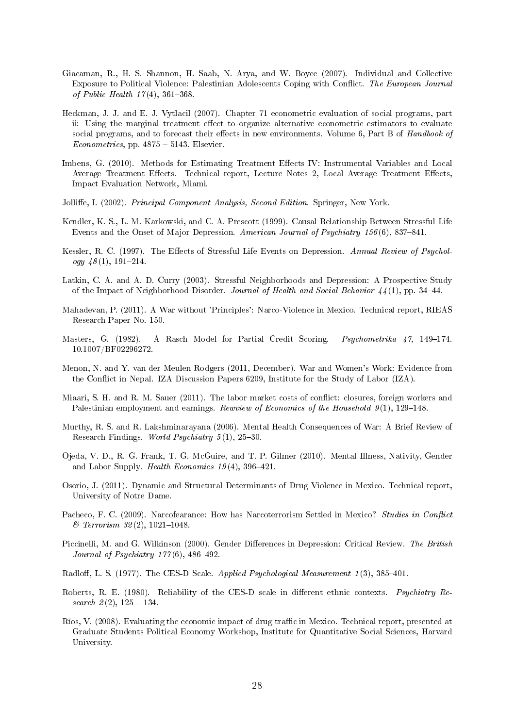- <span id="page-28-7"></span>Giacaman, R., H. S. Shannon, H. Saab, N. Arya, and W. Boyce (2007). Individual and Collective Exposure to Political Violence: Palestinian Adolescents Coping with Conflict. The European Journal of Public Health  $17(4)$ , 361-368.
- <span id="page-28-15"></span>Heckman, J. J. and E. J. Vytlacil (2007). Chapter 71 econometric evaluation of social programs, part ii: Using the marginal treatment effect to organize alternative econometric estimators to evaluate social programs, and to forecast their effects in new environments. Volume 6, Part B of Handbook of  $Econometrics$ , pp.  $4875 - 5143$ . Elsevier.
- <span id="page-28-16"></span>Imbens, G. (2010). Methods for Estimating Treatment Effects IV: Instrumental Variables and Local Average Treatment Effects. Technical report, Lecture Notes 2, Local Average Treatment Effects, Impact Evaluation Network, Miami.
- <span id="page-28-18"></span>Jolliffe, I. (2002). Principal Component Analysis, Second Edition. Springer, New York.
- <span id="page-28-5"></span>Kendler, K. S., L. M. Karkowski, and C. A. Prescott (1999). Causal Relationship Between Stressful Life Events and the Onset of Major Depression. American Journal of Psychiatry 156(6), 837–841.
- <span id="page-28-4"></span>Kessler, R. C. (1997). The Effects of Stressful Life Events on Depression. Annual Review of Psychology  $48(1)$ , 191-214.
- <span id="page-28-6"></span>Latkin, C. A. and A. D. Curry (2003). Stressful Neighborhoods and Depression: A Prospective Study of the Impact of Neighborhood Disorder. Journal of Health and Social Behavior  $44(1)$ , pp. 34–44.
- <span id="page-28-11"></span>Mahadevan, P. (2011). A War without 'Principles': Narco-Violence in Mexico. Technical report, RIEAS Research Paper No. 150.
- <span id="page-28-3"></span>Masters, G. (1982). A Rasch Model for Partial Credit Scoring. *Psychometrika 47*, 149–174. 10.1007/BF02296272.
- <span id="page-28-0"></span>Menon, N. and Y. van der Meulen Rodgers (2011, December). War and Women's Work: Evidence from the Conflict in Nepal. IZA Discussion Papers 6209, Institute for the Study of Labor (IZA).
- <span id="page-28-1"></span>Miaari, S. H. and R. M. Sauer (2011). The labor market costs of conflict: closures, foreign workers and Palestinian employment and earnings. Rewview of Economics of the Household  $9(1)$ , 129–148.
- <span id="page-28-12"></span>Murthy, R. S. and R. Lakshminarayana (2006). Mental Health Consequences of War: A Brief Review of Research Findings. World Psychiatry  $5(1)$ , 25-30.
- <span id="page-28-2"></span>Ojeda, V. D., R. G. Frank, T. G. McGuire, and T. P. Gilmer (2010). Mental Illness, Nativity, Gender and Labor Supply. Health Economics  $19(4)$ , 396-421.
- <span id="page-28-8"></span>Osorio, J. (2011). Dynamic and Structural Determinants of Drug Violence in Mexico. Technical report, University of Notre Dame.
- <span id="page-28-10"></span>Pacheco, F. C. (2009). Narcofearance: How has Narcoterrorism Settled in Mexico? Studies in Conflict  $&~Terrorism~32(2),~1021-1048.$
- <span id="page-28-17"></span>Piccinelli, M. and G. Wilkinson (2000). Gender Differences in Depression: Critical Review. The British Journal of Psychiatry  $177(6)$ , 486-492.
- <span id="page-28-13"></span>Radloff, L. S. (1977). The CES-D Scale. Applied Psychological Measurement 1(3), 385-401.
- <span id="page-28-14"></span>Roberts, R. E. (1980). Reliability of the CES-D scale in different ethnic contexts. Psychiatry Research  $2(2)$ ,  $125 - 134$ .
- <span id="page-28-9"></span>Ríos, V. (2008). Evaluating the economic impact of drug traffic in Mexico. Technical report, presented at Graduate Students Political Economy Workshop, Institute for Quantitative Social Sciences, Harvard University.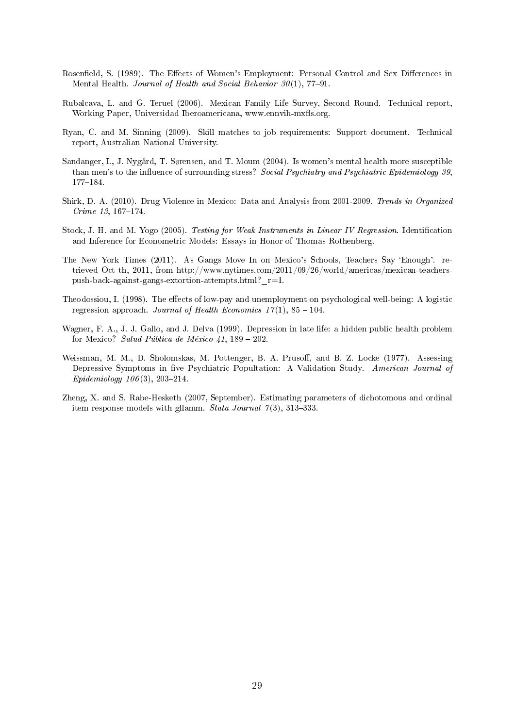- <span id="page-29-8"></span>Rosenfield, S. (1989). The Effects of Women's Employment: Personal Control and Sex Differences in Mental Health. Journal of Health and Social Behavior  $30(1)$ , 77-91.
- <span id="page-29-2"></span>Rubalcava, L. and G. Teruel (2006). Mexican Family Life Survey, Second Round. Technical report, Working Paper, Universidad Iberoamericana, www.ennvih-mxfls.org.
- <span id="page-29-4"></span>Ryan, C. and M. Sinning (2009). Skill matches to job requirements: Support document. Technical report, Australian National University.
- <span id="page-29-9"></span>Sandanger, I., J. Nygård, T. Sørensen, and T. Moum (2004). Is women's mental health more susceptible than men's to the influence of surrounding stress? Social Psychiatry and Psychiatric Epidemiology 39, 177184.
- <span id="page-29-1"></span>Shirk, D. A. (2010). Drug Violence in Mexico: Data and Analysis from 2001-2009. Trends in Organized  $C$ rime 13, 167-174.
- <span id="page-29-7"></span>Stock, J. H. and M. Yogo (2005). Testing for Weak Instruments in Linear IV Regression. Identification and Inference for Econometric Models: Essays in Honor of Thomas Rothenberg.
- <span id="page-29-10"></span>The New York Times (2011). As Gangs Move In on Mexico's Schools, Teachers Say `Enough'. retrieved Oct th, 2011, from http://www.nytimes.com/2011/09/26/world/americas/mexican-teacherspush-back-against-gangs-extortion-attempts.html? $r=1$ .
- <span id="page-29-6"></span>Theodossiou, I. (1998). The effects of low-pay and unemployment on psychological well-being: A logistic regression approach. Journal of Health Economics  $17(1)$ ,  $85 - 104$ .
- <span id="page-29-0"></span>Wagner, F. A., J. J. Gallo, and J. Delva (1999). Depression in late life: a hidden public health problem for Mexico? Salud Pública de México 41,  $189 - 202$ .
- <span id="page-29-3"></span>Weissman, M. M., D. Sholomskas, M. Pottenger, B. A. Prusoff, and B. Z. Locke (1977). Assessing Depressive Symptoms in five Psychiatric Popultation: A Validation Study. American Journal of  $Epidemiology 106(3), 203-214.$
- <span id="page-29-5"></span>Zheng, X. and S. Rabe-Hesketh (2007, September). Estimating parameters of dichotomous and ordinal item response models with gllamm. Stata Journal  $7(3)$ , 313-333.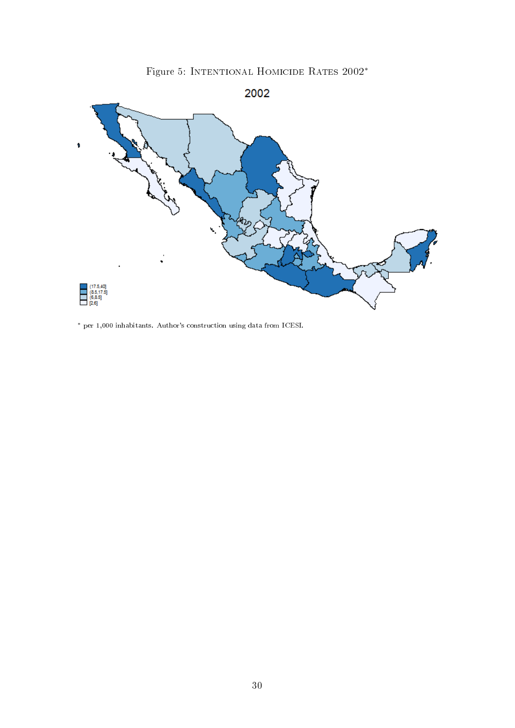

<span id="page-30-0"></span>

<sup>∗</sup> per 1,000 inhabitants. Author's construction using data from ICESI.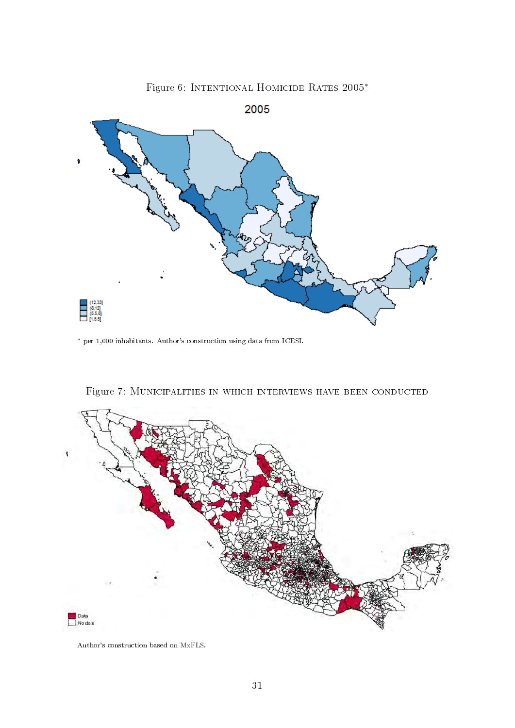<span id="page-31-0"></span>

Figure 6: Intentional Homicide Rates 2005<sup>∗</sup>

<sup>∗</sup> per 1,000 inhabitants. Author's construction using data from ICESI.

<span id="page-31-1"></span>

Figure 7: Municipalities in which interviews have been conducted

Author's construction based on MxFLS.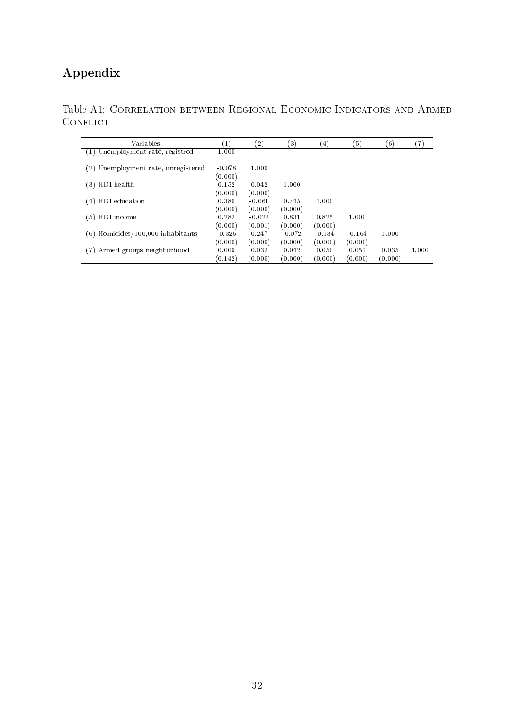## Appendix

<span id="page-32-0"></span>

|                 | Table A1: CORRELATION BETWEEN REGIONAL ECONOMIC INDICATORS AND ARMED |  |  |  |
|-----------------|----------------------------------------------------------------------|--|--|--|
| <b>CONFLICT</b> |                                                                      |  |  |  |

| Variables                            | $\left(1\right)$ | $\left( 2\right)$ | (3)      | $\left( 4\right)$ | (5)      | (6)     | (7)   |
|--------------------------------------|------------------|-------------------|----------|-------------------|----------|---------|-------|
| Unemployment rate, registred<br>(1)  | 1.000            |                   |          |                   |          |         |       |
| (2) Unemployment rate, unregistered  | $-0.078$         | 1.000             |          |                   |          |         |       |
|                                      | (0.000)          |                   |          |                   |          |         |       |
| HDI health<br>(3)                    | 0.152            | 0.042             | 1.000    |                   |          |         |       |
|                                      | (0.000)          | (0.000)           |          |                   |          |         |       |
| HDI education<br>(4)                 | 0.380            | $-0.061$          | 0.745    | 1.000             |          |         |       |
|                                      | (0.000)          | (0.000)           | (0.000)  |                   |          |         |       |
| HDI income<br>(5)                    | 0.282            | $-0.022$          | 0.831    | 0.825             | 1.000    |         |       |
|                                      | (0.000)          | (0.001)           | (0.000)  | (0.000)           |          |         |       |
| Homicides/100,000 inhabitants<br>(6) | $-0.326$         | 0.247             | $-0.072$ | $-0.134$          | $-0.164$ | 1.000   |       |
|                                      | (0.000)          | (0.000)           | (0.000)  | (0.000)           | (0.000)  |         |       |
| Armed groups neighborhood            | 0.009            | 0.032             | 0.042    | 0.050             | 0.051    | 0.035   | 1.000 |
|                                      | (0.142)          | (0.000)           | (0.000)  | (0.000)           | (0.000)  | (0.000) |       |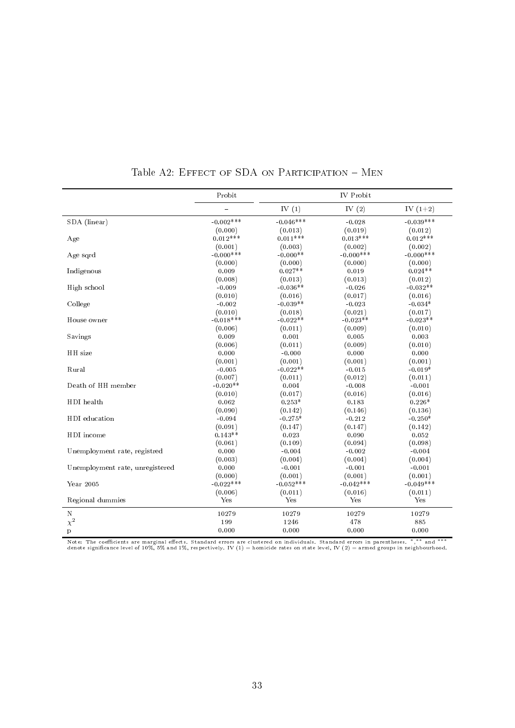|                                 | Probit      |             | <b>IV</b> Probit |              |
|---------------------------------|-------------|-------------|------------------|--------------|
|                                 |             | IV $(1)$    | IV $(2)$         | IV $(1+2)$   |
| SDA (linear)                    | $-0.002***$ | $-0.046***$ | $-0.028$         | $-0.039***$  |
|                                 | (0.000)     | (0.013)     | (0.019)          | (0.012)      |
| Age                             | $0.012***$  | $0.011***$  | $0.013***$       | $0.012***$   |
|                                 | (0.001)     | (0.003)     | (0.002)          | (0.002)      |
| Age sqrd                        | $-0.000***$ | $-0.000**$  | $-0.000***$      | $-0.000$ *** |
|                                 | (0.000)     | (0.000)     | (0.000)          | (0.000)      |
| Indigenous                      | 0.009       | $0.027**$   | 0.019            | $0.024**$    |
|                                 | (0.008)     | (0.013)     | (0.013)          | (0.012)      |
| High school                     | $-0.009$    | $-0.036**$  | $-0.026$         | $-0.032**$   |
|                                 | (0.010)     | (0.016)     | (0.017)          | (0.016)      |
| College                         | $-0.002$    | $-0.039**$  | $-0.023$         | $-0.034*$    |
|                                 | (0.010)     | (0.018)     | (0.021)          | (0.017)      |
| House owner                     | $-0.018***$ | $-0.022**$  | $-0.023**$       | $-0.023**$   |
|                                 | (0.006)     | (0.011)     | (0.009)          | (0.010)      |
| Savings                         | 0.009       | 0.001       | 0.005            | 0.003        |
|                                 | (0.006)     | (0.011)     | (0.009)          | (0.010)      |
| HH size                         | 0.000       | $-0.000$    | 0.000            | 0.000        |
|                                 | (0.001)     | (0.001)     | (0.001)          | (0.001)      |
| Rural                           | $-0.005$    | $-0.022**$  | $-0.015$         | $-0.019*$    |
|                                 | (0.007)     | (0.011)     | (0.012)          | (0.011)      |
| Death of HH member              | $-0.020**$  | 0.004       | $-0.008$         | $-0.001$     |
|                                 | (0.010)     | (0.017)     | (0.016)          | (0.016)      |
| HDI health                      | 0.062       | $0.253*$    | 0.183            | $0.226*$     |
|                                 | (0.090)     | (0.142)     | (0.146)          | (0.136)      |
| HDI education                   | $-0.094$    | $-0.275*$   | $-0.212$         | $-0.250*$    |
|                                 | (0.091)     | (0.147)     | (0.147)          | (0.142)      |
| HDI income                      | $0.143**$   | 0.023       | 0.090            | 0.052        |
|                                 | (0.061)     | (0.109)     | (0.094)          | (0.098)      |
| Unemployment rate, registred    | 0.000       | $-0.004$    | $-0.002$         | $-0.004$     |
|                                 | (0.003)     | (0.004)     | (0.004)          | (0.004)      |
| Unemployment rate, unregistered | 0.000       | $-0.001$    | $-0.001$         | $-0.001$     |
|                                 | (0.000)     | (0.001)     | (0.001)          | (0.001)      |
| Year 2005                       | $-0.022***$ | $-0.052***$ | $-0.042***$      | $-0.049***$  |
|                                 | (0.006)     | (0.011)     | (0.016)          | (0.011)      |
| Regional dummies                | Yes         | Yes         | Yes              | Yes          |
| $\mathbf N$                     | 10279       | 10279       | 10279            | 10279        |
| $\chi^2$                        | 199         | 1246        | 478              | 885          |
| $\mathbf{p}$                    | 0.000       | 0.000       | 0.000            | 0.000        |

|  | Table A2: EFFECT OF SDA ON PARTICIPATION - MEN |  |
|--|------------------------------------------------|--|
|  |                                                |  |

Note: The coefficients are marginal effects. Standard errors are clustered on individuals. Standard errors in parentheses. \*,\*\* and \*\*\*<br>denote significance level of 10%, 5% and 1%, respectively. IV (1) = homicide rates on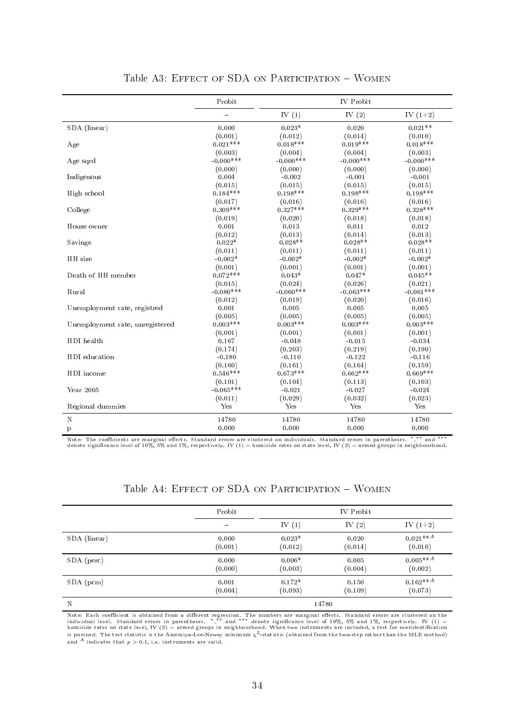|                                 | Probit       | <b>IV</b> Probit |             |              |
|---------------------------------|--------------|------------------|-------------|--------------|
|                                 |              | IV $(1)$         | IV $(2)$    | IV $(1+2)$   |
| SDA (linear)                    | 0.000        | $0.023*$         | 0.020       | $0.021**$    |
|                                 | (0.001)      | (0.012)          | (0.014)     | (0.010)      |
| Age                             | $0.021***$   | $0.018***$       | $0.019***$  | $0.018***$   |
|                                 | (0.003)      | (0.004)          | (0.004)     | (0.003)      |
| Age sqrd                        | $-0.000$ *** | $-0.000***$      | $-0.000***$ | $-0.000$ *** |
|                                 | (0.000)      | (0.000)          | (0.000)     | (0.000)      |
| Indigenous                      | 0.004        | $-0.002$         | $-0.001$    | $-0.001$     |
|                                 | (0.015)      | (0.015)          | (0.015)     | (0.015)      |
| High school                     | $0.184***$   | $0.198***$       | $0.198***$  | $0.198***$   |
|                                 | (0.017)      | (0.016)          | (0.016)     | (0.016)      |
| College                         | $0.309***$   | $0.327***$       | $0.329***$  | $0.328***$   |
|                                 | (0.019)      | (0.020)          | (0.018)     | (0.018)      |
| House owner                     | 0.001        | 0.013            | 0.011       | 0.012        |
|                                 | (0.012)      | (0.013)          | (0.014)     | (0.013)      |
| Savings                         | $0.022*$     | $0.028**$        | $0.028**$   | $0.028**$    |
|                                 | (0.011)      | (0.011)          | (0.011)     | (0.011)      |
| HH size                         | $-0.002*$    | $-0.002*$        | $-0.002*$   | $-0.002*$    |
|                                 | (0.001)      | (0.001)          | (0.001)     | (0.001)      |
| Death of HH member              | $0.072***$   | $0.043*$         | $0.047*$    | $0.045**$    |
|                                 | (0.015)      | (0.024)          | (0.026)     | (0.021)      |
| Rural                           | $-0.080***$  | $-0.060***$      | $-0.063***$ | $-0.061***$  |
|                                 | (0.012)      | (0.019)          | (0.020)     | (0.016)      |
| Unemployment rate, registred    | 0.001        | 0.005            | 0.005       | 0.005        |
|                                 | (0.005)      | (0.005)          | (0.005)     | (0.005)      |
| Unemployment rate, unregistered | $0.003***$   | $0.003***$       | $0.003***$  | $0.003***$   |
|                                 | (0.001)      | (0.001)          | (0.001)     | (0.001)      |
| HDI health                      | 0.167        | $-0.048$         | $-0.015$    | $-0.034$     |
|                                 | (0.174)      | (0.203)          | (0.219)     | (0.190)      |
| HDI education                   | $-0.180$     | $-0.110$         | $-0.122$    | $-0.116$     |
|                                 | (0.160)      | (0.161)          | (0.164)     | (0.159)      |
| HDI income                      | $0.546***$   | $0.673***$       | $0.662***$  | $0.669***$   |
|                                 | (0.101)      | (0.104)          | (0.113)     | (0.103)      |
| Year 2005                       | $-0.065***$  | $-0.021$         | $-0.027$    | $-0.024$     |
|                                 | (0.011)      | (0.029)          | (0.032)     | (0.023)      |
| Regional dummies                | Yes          | Yes              | Yes         | Yes          |
| $\mathbf N$                     | 14780        | 14780            | 14780       | 14780        |
| $\mathbf{p}$                    | 0.000        | 0.000            | 0.000       | 0.000        |

| Table A3: EFFECT OF SDA ON PARTICIPATION - WOMEN |  |
|--------------------------------------------------|--|
|--------------------------------------------------|--|

Note: The coefficients are marginal effects. Standard errors are clustered on individuals. Standard errors in parentheses. \*,\*\* and \*\*\*<br>denote significance level of 10%, 5% and 1%, respectively. IV (1) = homicide rates on

|  |  |  | Table A4: EFFECT OF SDA ON PARTICIPATION - WOMEN |  |
|--|--|--|--------------------------------------------------|--|
|--|--|--|--------------------------------------------------|--|

<span id="page-34-0"></span>

|              | Probit                   |                     |                  |                       |
|--------------|--------------------------|---------------------|------------------|-----------------------|
|              | $\overline{\phantom{0}}$ | IV $(1)$            | IV $(2)$         | IV $(1+2)$            |
| SDA (linear) | 0.000<br>(0.001)         | $0.023*$<br>(0.012) | 0.020<br>(0.014) | $0.021**A$<br>(0.010) |
| SDA (perc)   | 0.000<br>(0.000)         | $0.006*$<br>(0.003) | 0.005<br>(0.004) | $0.005**A$<br>(0.002) |
| $SDA$ (pcm)  | 0.001<br>(0.004)         | $0.172*$<br>(0.093) | 0.150<br>(0.109) | $0.162**A$<br>(0.073) |
| N            |                          |                     | 14780            |                       |

Note: Each coefficient is obtained from a different regression. The numbers are marginal effects. Standard errors are clustered on the<br>individual level. Standard errors in parentheses. \*,\*\* and \*\*\* denote significance leve is pursued. The test statistic is the Amemiya-Lee-Newey minimum  $\chi^2$ -statistic (obtained from the two-step rather than the MLE method) and <sup>A</sup> indicates that  $p > 0.1$ , i.e. instruments are valid.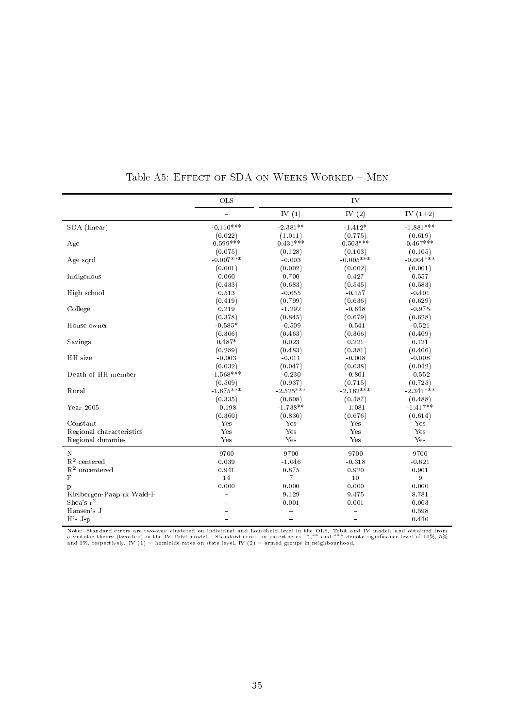<span id="page-35-0"></span>

|                           | OLS         | IV                       |             |             |
|---------------------------|-------------|--------------------------|-------------|-------------|
|                           | $\equiv$    | IV $(1)$                 | IV $(2)$    | IV $(1+2)$  |
| SDA (linear)              | $-0.110***$ | $-2.381**$               | $-1.412*$   | $-1.881***$ |
|                           | (0.022)     | (1.011)                  | (0.775)     | (0.619)     |
| Age                       | $0.599***$  | $0.431***$               | $0.503***$  | $0.467***$  |
|                           | (0.075)     | (0.128)                  | (0.103)     | (0.105)     |
| Age sqrd                  | $-0.007***$ | $-0.003$                 | $-0.005***$ | $-0.004***$ |
|                           | (0.001)     | (0.002)                  | (0.002)     | (0.001)     |
| Indigenous                | 0.060       | 0.700                    | 0.427       | 0.557       |
|                           | (0.433)     | (0.683)                  | (0.545)     | (0.583)     |
| High school               | 0.513       | $-0.655$                 | $-0.157$    | $-0.401$    |
|                           | (0.419)     | (0.799)                  | (0.636)     | (0.629)     |
| College                   | 0.219       | $-1.292$                 | $-0.648$    | $-0.975$    |
|                           | (0.378)     | (0.845)                  | (0.679)     | (0.628)     |
| House owner               | $-0.585*$   | $-0.509$                 | $-0.541$    | $-0.521$    |
|                           | (0.306)     | (0.463)                  | (0.366)     | (0.409)     |
| Savings                   | $0.487*$    | 0.023                    | 0.221       | 0.121       |
|                           | (0.289)     | (0.483)                  | (0.381)     | (0.406)     |
| HH size                   | $-0.003$    | $-0.011$                 | $-0.008$    | $-0.008$    |
|                           | (0.032)     | (0.047)                  | (0.038)     | (0.042)     |
| Death of HH member        | $-1.568***$ | $-0.230$                 | $-0.801$    | $-0.552$    |
|                           | (0.509)     | (0.937)                  | (0.715)     | (0.725)     |
| Rural                     | $-1.675***$ | $-2.525***$              | $-2.162***$ | $-2.341***$ |
|                           | (0.335)     | (0.608)                  | (0.487)     | (0.488)     |
| Year 2005                 | $-0.198$    | $-1.738**$               | $-1.081$    | $-1.417**$  |
|                           | (0.360)     | (0.836)                  | (0.676)     | (0.614)     |
| Constant                  | Yes         | Yes                      | Yes         | Yes         |
| Regional characteristics  | Yes         | Yes                      | Yes         | Yes         |
| Regional dummies          | Yes         | Yes                      | Yes         | Yes         |
| $\mathbf N$               | 9700        | 9700                     | 9700        | 9700        |
| $\mathbf{R}^2$ centered   | 0.039       | $-1.046$                 | $-0.318$    | $-0.621$    |
| $R^2$ uncentered          | 0.941       | 0.875                    | 0.920       | 0.901       |
| $\mathbf F$               | 14          | $\overline{7}$           | 10          | 9           |
| p                         | 0.000       | 0.000                    | 0.000       | 0.000       |
| Kleibergen-Paap rk Wald-F |             | 9.129                    | 9.475       | 8.781       |
| Shea's $r^2$              |             | 0.001                    | 0.001       | 0.003       |
| Hansen's J                |             |                          |             | 0.598       |
| $H's J-p$                 |             | $\overline{\phantom{0}}$ | $\equiv$    | 0.440       |

Table A5: EFFECT OF SDA ON WEEKS WORKED - MEN

Note: Standard errors are two-way clustered on individual and household level in the OLS, Tobit and IV models and obtained from<br>asymtotic theory (twostep) in the IV-Tobit models. Standard errors in parentheses. \*,\*\* and \*\*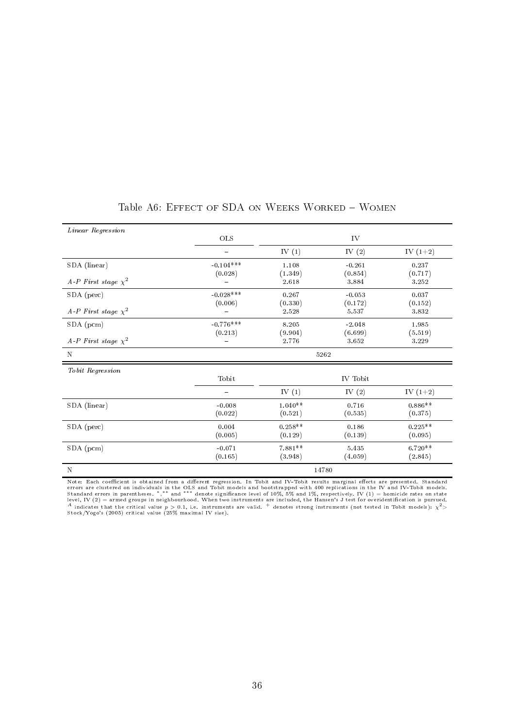<span id="page-36-0"></span>

| Linear Regression           |             |                  |                  |                  |
|-----------------------------|-------------|------------------|------------------|------------------|
|                             | OLS         |                  | IV               |                  |
|                             | -           | IV $(1)$         | IV $(2)$         | IV $(1+2)$       |
| SDA (linear)                | $-0.104***$ | 1.108            | $-0.261$         | 0.237            |
| A-P First stage $\chi^2$    | (0.028)     | (1.349)<br>2.618 | (0.854)<br>3.884 | (0.717)<br>3.252 |
| SDA (perc)                  | $-0.028***$ | 0.267            | $-0.053$         | 0.037            |
| A-P First stage $\chi^2$    | (0.006)     | (0.330)<br>2.528 | (0.172)<br>5.537 | (0.152)<br>3.832 |
| $SDA$ (pcm)                 | $-0.776***$ | 8.205            | $-2.048$         | 1.985            |
| A-P First stage $\chi^2$    | (0.213)     | (9.904)<br>2.776 | (6.699)<br>3.652 | (5.519)<br>3.229 |
| N                           | 5262        |                  |                  |                  |
| $\it To\,bit\,\,Regression$ |             |                  |                  |                  |
|                             | Tobit       |                  | IV Tobit         |                  |
|                             |             | IV $(1)$         | IV $(2)$         | IV $(1+2)$       |
| SDA (linear)                | $-0.008$    | $1.040**$        | 0.716            | $0.886**$        |
|                             | (0.022)     | (0.521)          | (0.535)          | (0.375)          |
| SDA (perc)                  | 0.004       | $0.258**$        | 0.186            | $0.225**$        |
|                             | (0.005)     | (0.129)          | (0.139)          | (0.095)          |
| $SDA$ (pcm)                 | $-0.071$    | $7.881**$        | 5.435            | $6.720**$        |
|                             | (0.165)     | (3.948)          | (4.059)          | (2.845)          |
| $\mathbf N$                 |             |                  | 14780            |                  |

## Table A6: EFFECT OF SDA ON WEEKS WORKED - WOMEN

Note: Each coefficient is obtained from a different regression. In Tobit and IV-Tobit results marginal effects are presented. Standard<br>errors are clustered on individuals in the OLS and Tobit models and bootstrapped with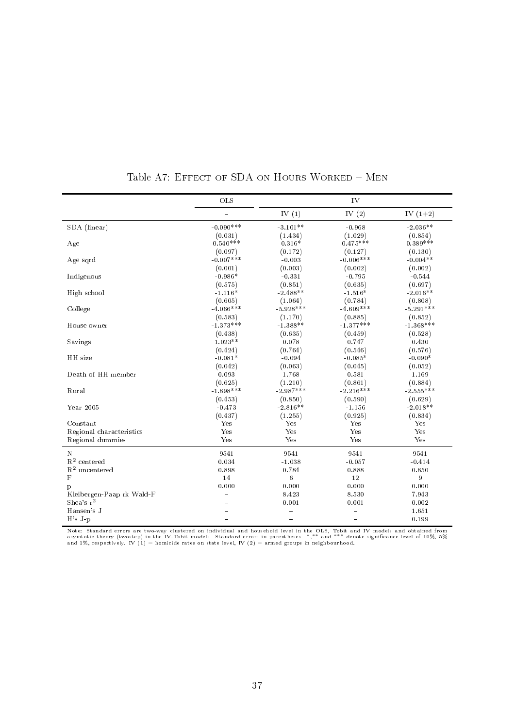|                           | OLS         | IV          |             |                  |
|---------------------------|-------------|-------------|-------------|------------------|
|                           | $\equiv$    | IV $(1)$    | IV $(2)$    | IV $(1+2)$       |
| SDA (linear)              | $-0.090***$ | $-3.101**$  | $-0.968$    | $-2.036**$       |
|                           | (0.031)     | (1.434)     | (1.029)     | (0.854)          |
| Age                       | $0.540***$  | $0.316*$    | $0.475***$  | $0.389***$       |
|                           | (0.097)     | (0.172)     | (0.127)     | (0.130)          |
| Age sqrd                  | $-0.007***$ | $-0.003$    | $-0.006***$ | $-0.004**$       |
|                           | (0.001)     | (0.003)     | (0.002)     | (0.002)          |
| Indigenous                | $-0.986*$   | $-0.331$    | $-0.795$    | $-0.544$         |
|                           | (0.575)     | (0.851)     | (0.635)     | (0.697)          |
| High school               | $-1.116*$   | $-2.488**$  | $-1.516*$   | $-2.016**$       |
|                           | (0.605)     | (1.064)     | (0.784)     | (0.808)          |
| College                   | $-4.066***$ | $-5.928***$ | $-4.609***$ | $-5.291***$      |
|                           | (0.583)     | (1.170)     | (0.885)     | (0.852)          |
| House owner               | $-1.373***$ | $-1.388**$  | $-1.377***$ | $-1.368***$      |
|                           | (0.438)     | (0.635)     | (0.459)     | (0.528)          |
| Savings                   | $1.023**$   | 0.078       | 0.747       | 0.430            |
|                           | (0.424)     | (0.764)     | (0.546)     | (0.576)          |
| HH size                   | $-0.081*$   | $-0.094$    | $-0.085*$   | $-0.090*$        |
|                           | (0.042)     | (0.063)     | (0.045)     | (0.052)          |
| Death of HH member        | 0.093       | 1.768       | 0.581       | 1.169            |
|                           | (0.625)     | (1.210)     | (0.861)     | (0.884)          |
| Rural                     | $-1.898***$ | $-2.987***$ | $-2.216***$ | $-2.555***$      |
|                           | (0.453)     | (0.850)     | (0.590)     | (0.629)          |
| Year 2005                 | $-0.473$    | $-2.816**$  | $-1.156$    | $-2.018**$       |
|                           | (0.437)     | (1.255)     | (0.925)     | (0.834)          |
| Constant                  | Yes         | Yes         | Yes         | Yes              |
| Regional characteristics  | Yes         | Yes         | Yes         | Yes              |
| Regional dummies          | Yes         | Yes         | Yes         | Yes              |
| $\mathbf N$               | 9541        | 9541        | 9541        | 9541             |
| $\mathbf{R}^2$ centered   | 0.034       | $-1.038$    | $-0.057$    | $-0.414$         |
| $\mathbf{R}^2$ uncentered | 0.898       | 0.784       | 0.888       | 0.850            |
| $\mathbf F$               | 14          | $\,6\,$     | 12          | $\boldsymbol{9}$ |
| p                         | 0.000       | 0.000       | 0.000       | 0.000            |
| Kleibergen-Paap rk Wald-F |             | 8.423       | 8.530       | 7.943            |
| Shea's $r^2$              |             | 0.001       | 0.001       | 0.002            |
| Hansen's J                |             |             |             | 1.651            |
| $H's J-p$                 |             |             | $\sim$      | 0.199            |

Table A7: EFFECT OF SDA ON HOURS WORKED - MEN

Note: Standard errors are two-way clustered on individual and household level in the OLS, Tobit and IV models and obtained from<br>asymtotic theory (twostep) in the IV-Tobit models. Standard errors in parentheses. \*,\*\* and \*\*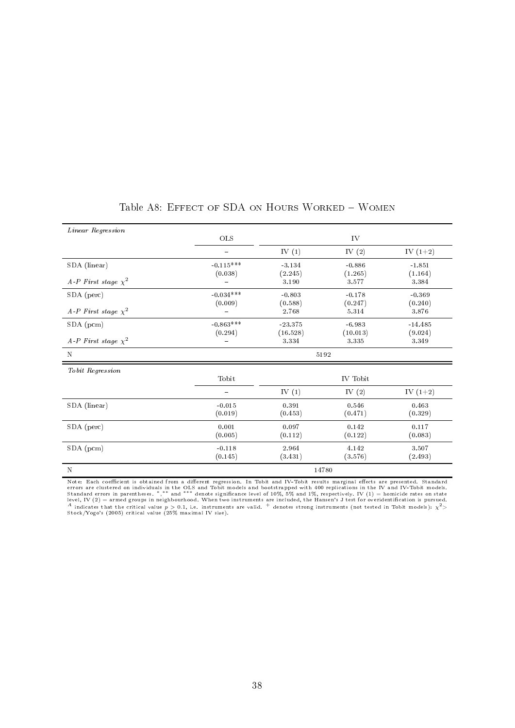| Linear Regression        |                     |                   |                   |                  |  |
|--------------------------|---------------------|-------------------|-------------------|------------------|--|
|                          | OLS                 |                   | IV                |                  |  |
|                          | -                   | IV $(1)$          | IV $(2)$          | IV $(1+2)$       |  |
| SDA (linear)             | $-0.115***$         | $-3.134$          | $-0.886$          | $-1.851$         |  |
| A-P First stage $\chi^2$ | (0.038)             | (2.245)<br>3.190  | (1.265)<br>3.577  | (1.164)<br>3.384 |  |
| SDA (perc)               | $-0.034***$         | $-0.803$          | $-0.178$          | $-0.369$         |  |
| A-P First stage $\chi^2$ | (0.009)             | (0.588)<br>2.768  | (0.247)<br>5.314  | (0.240)<br>3.876 |  |
| $SDA$ (pcm)              | $-0.863***$         | $-23.375$         | $-6.983$          | $-14.485$        |  |
| A-P First stage $\chi^2$ | (0.294)             | (16.528)<br>3.334 | (10.013)<br>3.335 | (9.024)<br>3.349 |  |
| $\mathbf N$              |                     | 5192              |                   |                  |  |
| Tobit Regression         |                     |                   |                   |                  |  |
|                          | Tobit               |                   | IV Tobit          |                  |  |
|                          | $\equiv$            | IV $(1)$          | IV $(2)$          | IV $(1+2)$       |  |
| SDA (linear)             | $-0.015$<br>(0.019) | 0.391<br>(0.453)  | 0.546<br>(0.471)  | 0.463<br>(0.329) |  |
| SDA (perc)               | 0.001<br>(0.005)    | 0.097<br>(0.112)  | 0.142<br>(0.122)  | 0.117<br>(0.083) |  |
| $SDA$ (pcm)              | $-0.118$<br>(0.145) | 2.964<br>(3.431)  | 4.142<br>(3.576)  | 3.507<br>(2.493) |  |
| $\mathbf N$              |                     |                   | 14780             |                  |  |

## Table A8: EFFECT OF SDA ON HOURS WORKED - WOMEN

Note: Each coefficient is obtained from a different regression. In Tobit and IV-Tobit results marginal effects are presented. Standard<br>errors are clustered on individuals in the OLS and Tobit models and bootstrapped with